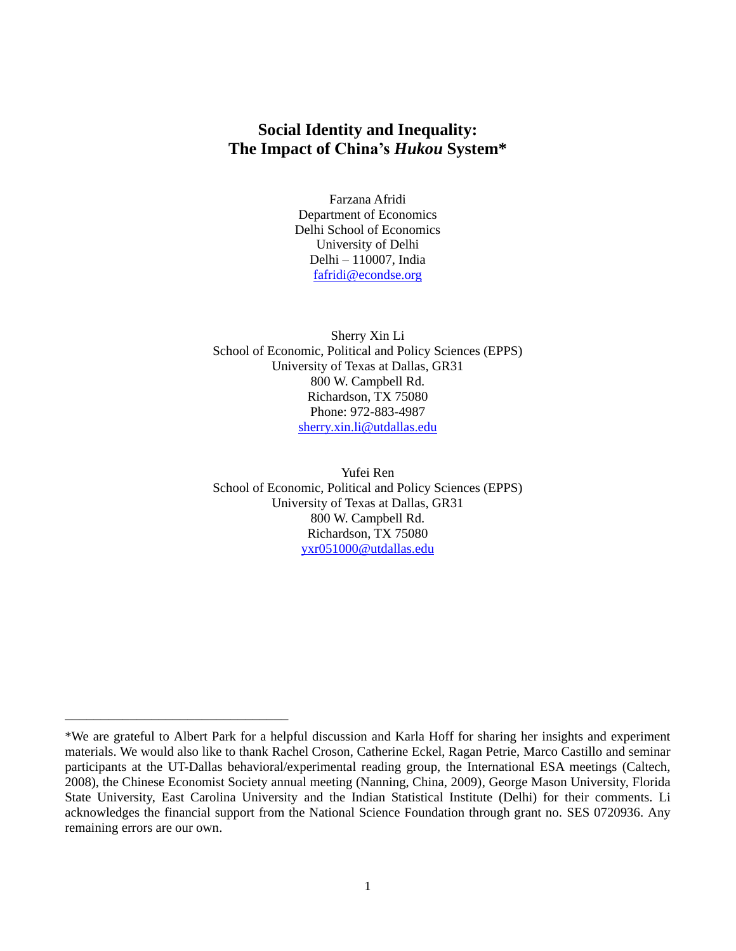### **Social Identity and Inequality: The Impact of China's** *Hukou* **System\***

Farzana Afridi Department of Economics Delhi School of Economics University of Delhi Delhi – 110007, India [fafridi@econdse.org](mailto:fafridi@econdse.org)

Sherry Xin Li School of Economic, Political and Policy Sciences (EPPS) University of Texas at Dallas, GR31 800 W. Campbell Rd. Richardson, TX 75080 Phone: 972-883-4987 [sherry.xin.li@utdallas.edu](mailto:sherry.xin.li@utdallas.edu)

Yufei Ren School of Economic, Political and Policy Sciences (EPPS) University of Texas at Dallas, GR31 800 W. Campbell Rd. Richardson, TX 75080 [yxr051000@utdallas.edu](mailto:yxr051000@utdallas.edu)

\_\_\_\_\_\_\_\_\_\_\_\_\_\_\_\_\_\_\_\_\_\_\_\_\_\_\_\_\_\_\_

<sup>\*</sup>We are grateful to Albert Park for a helpful discussion and Karla Hoff for sharing her insights and experiment materials. We would also like to thank Rachel Croson, Catherine Eckel, Ragan Petrie, Marco Castillo and seminar participants at the UT-Dallas behavioral/experimental reading group, the International ESA meetings (Caltech, 2008), the Chinese Economist Society annual meeting (Nanning, China, 2009), George Mason University, Florida State University, East Carolina University and the Indian Statistical Institute (Delhi) for their comments. Li acknowledges the financial support from the National Science Foundation through grant no. SES 0720936. Any remaining errors are our own.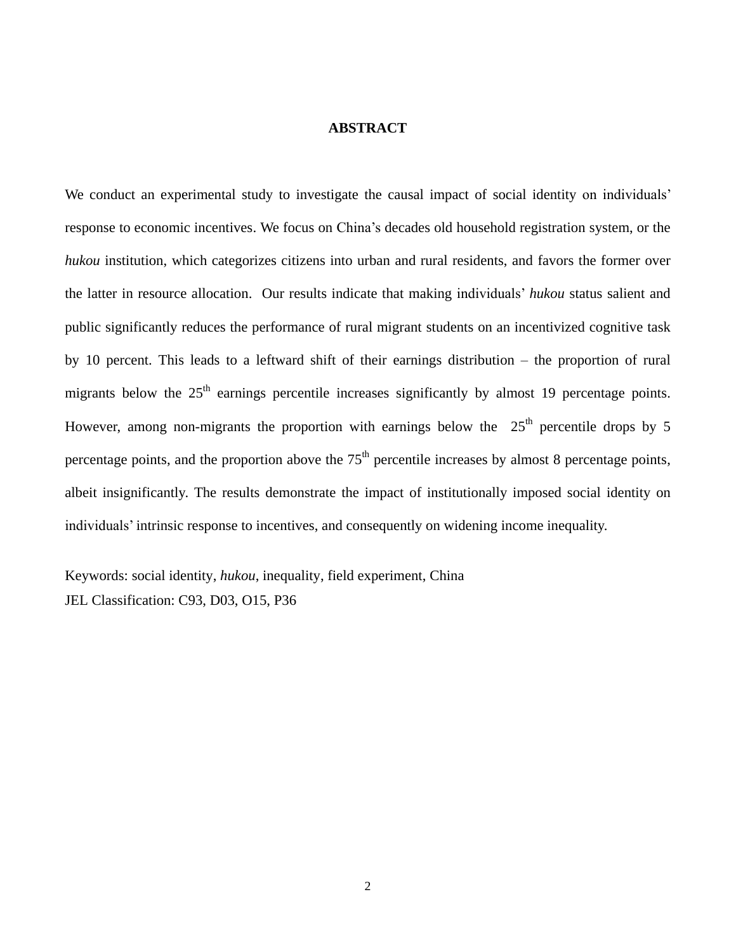### **ABSTRACT**

We conduct an experimental study to investigate the causal impact of social identity on individuals' response to economic incentives. We focus on China"s decades old household registration system, or the *hukou* institution, which categorizes citizens into urban and rural residents, and favors the former over the latter in resource allocation. Our results indicate that making individuals" *hukou* status salient and public significantly reduces the performance of rural migrant students on an incentivized cognitive task by 10 percent. This leads to a leftward shift of their earnings distribution – the proportion of rural migrants below the  $25<sup>th</sup>$  earnings percentile increases significantly by almost 19 percentage points. However, among non-migrants the proportion with earnings below the  $25<sup>th</sup>$  percentile drops by 5 percentage points, and the proportion above the  $75<sup>th</sup>$  percentile increases by almost 8 percentage points, albeit insignificantly. The results demonstrate the impact of institutionally imposed social identity on individuals' intrinsic response to incentives, and consequently on widening income inequality.

Keywords: social identity, *hukou*, inequality, field experiment, China JEL Classification: C93, D03, O15, P36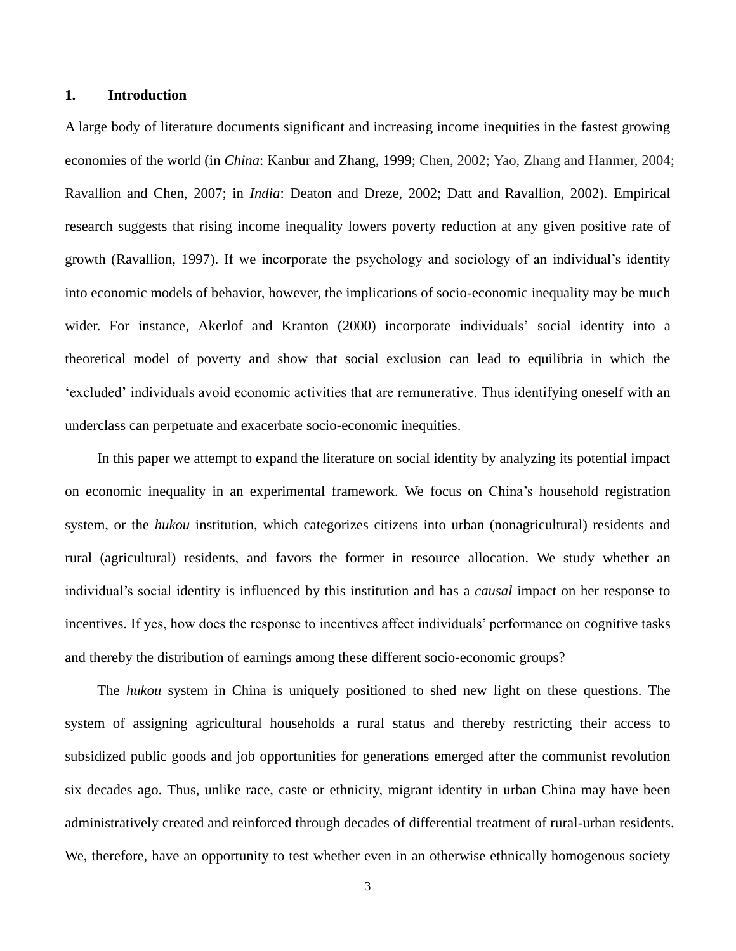### **1. Introduction**

A large body of literature documents significant and increasing income inequities in the fastest growing economies of the world (in *China*: Kanbur and Zhang, 1999; Chen, 2002; Yao, Zhang and Hanmer, 2004; Ravallion and Chen, 2007; in *India*: Deaton and Dreze, 2002; Datt and Ravallion, 2002). Empirical research suggests that rising income inequality lowers poverty reduction at any given positive rate of growth (Ravallion, 1997). If we incorporate the psychology and sociology of an individual"s identity into economic models of behavior, however, the implications of socio-economic inequality may be much wider. For instance, Akerlof and Kranton (2000) incorporate individuals' social identity into a theoretical model of poverty and show that social exclusion can lead to equilibria in which the "excluded" individuals avoid economic activities that are remunerative. Thus identifying oneself with an underclass can perpetuate and exacerbate socio-economic inequities.

In this paper we attempt to expand the literature on social identity by analyzing its potential impact on economic inequality in an experimental framework. We focus on China"s household registration system, or the *hukou* institution, which categorizes citizens into urban (nonagricultural) residents and rural (agricultural) residents, and favors the former in resource allocation. We study whether an individual"s social identity is influenced by this institution and has a *causal* impact on her response to incentives. If yes, how does the response to incentives affect individuals" performance on cognitive tasks and thereby the distribution of earnings among these different socio-economic groups?

The *hukou* system in China is uniquely positioned to shed new light on these questions. The system of assigning agricultural households a rural status and thereby restricting their access to subsidized public goods and job opportunities for generations emerged after the communist revolution six decades ago. Thus, unlike race, caste or ethnicity, migrant identity in urban China may have been administratively created and reinforced through decades of differential treatment of rural-urban residents. We, therefore, have an opportunity to test whether even in an otherwise ethnically homogenous society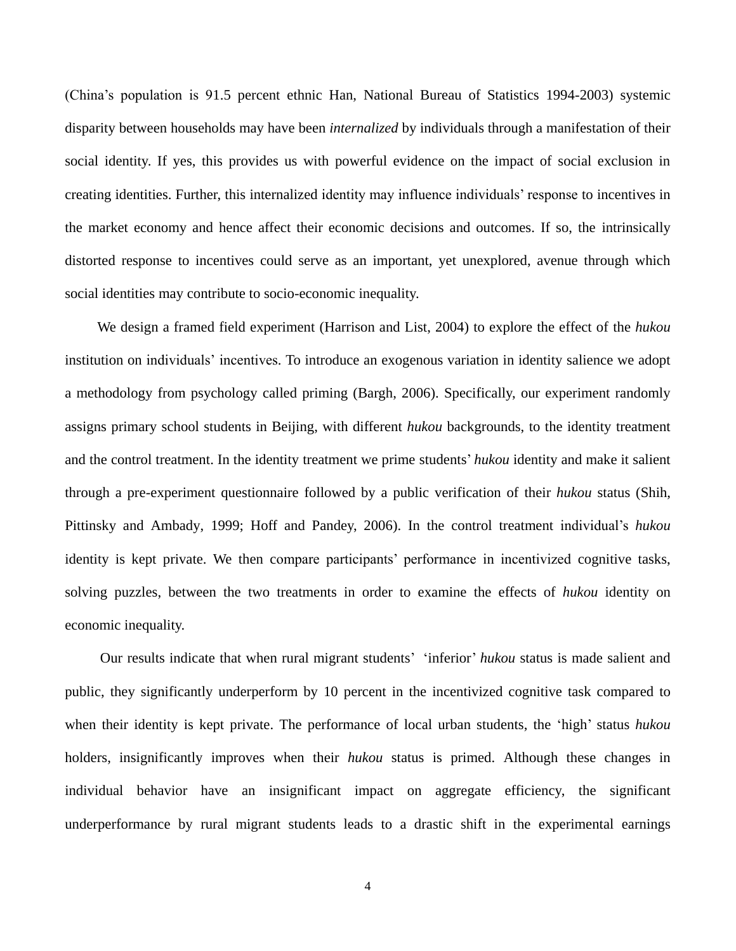(China"s population is 91.5 percent ethnic Han, National Bureau of Statistics 1994-2003) systemic disparity between households may have been *internalized* by individuals through a manifestation of their social identity. If yes, this provides us with powerful evidence on the impact of social exclusion in creating identities. Further, this internalized identity may influence individuals" response to incentives in the market economy and hence affect their economic decisions and outcomes. If so, the intrinsically distorted response to incentives could serve as an important, yet unexplored, avenue through which social identities may contribute to socio-economic inequality.

We design a framed field experiment (Harrison and List, 2004) to explore the effect of the *hukou* institution on individuals' incentives. To introduce an exogenous variation in identity salience we adopt a methodology from psychology called priming (Bargh, 2006). Specifically, our experiment randomly assigns primary school students in Beijing, with different *hukou* backgrounds, to the identity treatment and the control treatment. In the identity treatment we prime students' *hukou* identity and make it salient through a pre-experiment questionnaire followed by a public verification of their *hukou* status (Shih, Pittinsky and Ambady, 1999; Hoff and Pandey, 2006). In the control treatment individual"s *hukou* identity is kept private. We then compare participants' performance in incentivized cognitive tasks, solving puzzles, between the two treatments in order to examine the effects of *hukou* identity on economic inequality.

Our results indicate that when rural migrant students' 'inferior' hukou status is made salient and public, they significantly underperform by 10 percent in the incentivized cognitive task compared to when their identity is kept private. The performance of local urban students, the 'high' status *hukou* holders, insignificantly improves when their *hukou* status is primed. Although these changes in individual behavior have an insignificant impact on aggregate efficiency, the significant underperformance by rural migrant students leads to a drastic shift in the experimental earnings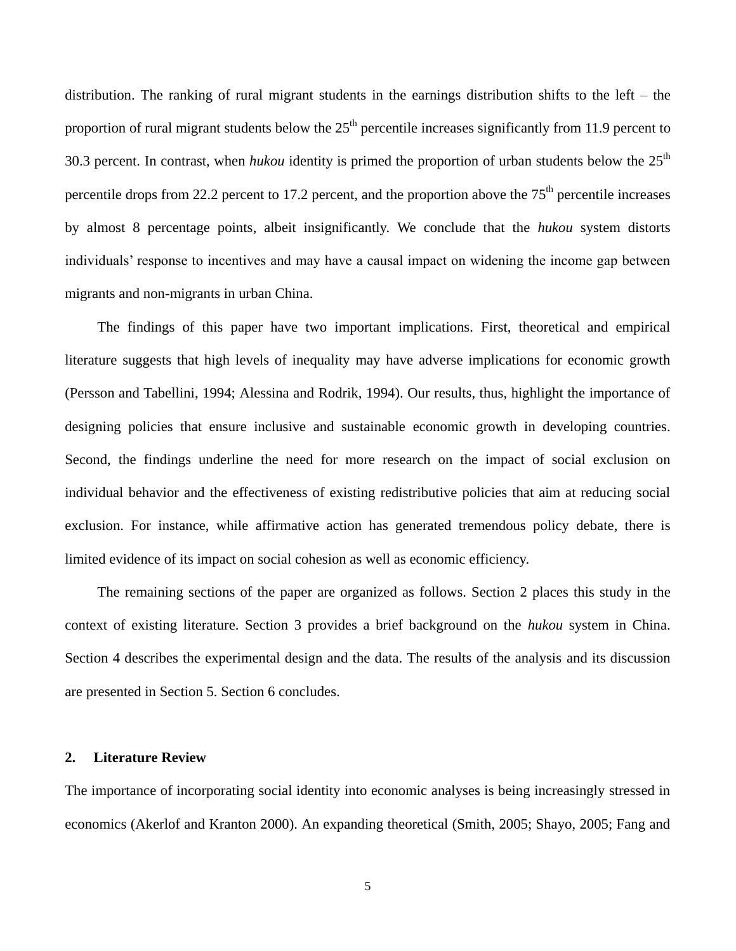distribution. The ranking of rural migrant students in the earnings distribution shifts to the left – the proportion of rural migrant students below the  $25<sup>th</sup>$  percentile increases significantly from 11.9 percent to 30.3 percent. In contrast, when *hukou* identity is primed the proportion of urban students below the  $25<sup>th</sup>$ percentile drops from 22.2 percent to 17.2 percent, and the proportion above the  $75<sup>th</sup>$  percentile increases by almost 8 percentage points, albeit insignificantly. We conclude that the *hukou* system distorts individuals" response to incentives and may have a causal impact on widening the income gap between migrants and non-migrants in urban China.

The findings of this paper have two important implications. First, theoretical and empirical literature suggests that high levels of inequality may have adverse implications for economic growth (Persson and Tabellini, 1994; Alessina and Rodrik, 1994). Our results, thus, highlight the importance of designing policies that ensure inclusive and sustainable economic growth in developing countries. Second, the findings underline the need for more research on the impact of social exclusion on individual behavior and the effectiveness of existing redistributive policies that aim at reducing social exclusion. For instance, while affirmative action has generated tremendous policy debate, there is limited evidence of its impact on social cohesion as well as economic efficiency.

The remaining sections of the paper are organized as follows. Section 2 places this study in the context of existing literature. Section 3 provides a brief background on the *hukou* system in China. Section 4 describes the experimental design and the data. The results of the analysis and its discussion are presented in Section 5. Section 6 concludes.

#### **2. Literature Review**

The importance of incorporating social identity into economic analyses is being increasingly stressed in economics (Akerlof and Kranton 2000). An expanding theoretical (Smith, 2005; Shayo, 2005; Fang and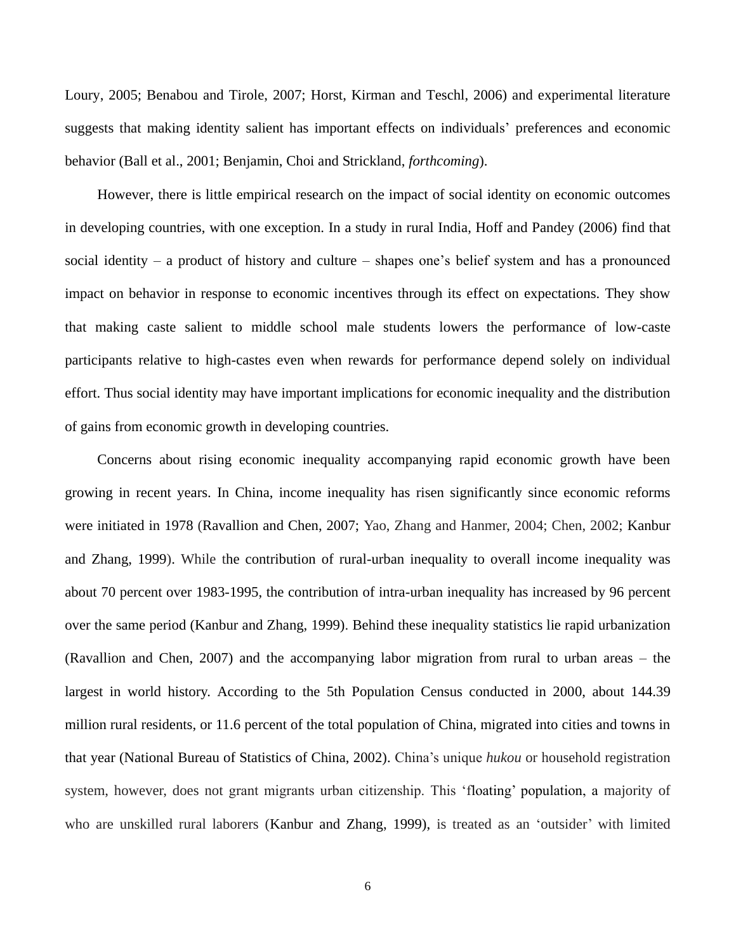Loury, 2005; Benabou and Tirole, 2007; Horst, Kirman and Teschl, 2006) and experimental literature suggests that making identity salient has important effects on individuals" preferences and economic behavior (Ball et al., 2001; Benjamin, Choi and Strickland, *forthcoming*).

However, there is little empirical research on the impact of social identity on economic outcomes in developing countries, with one exception. In a study in rural India, Hoff and Pandey (2006) find that social identity – a product of history and culture – shapes one"s belief system and has a pronounced impact on behavior in response to economic incentives through its effect on expectations. They show that making caste salient to middle school male students lowers the performance of low-caste participants relative to high-castes even when rewards for performance depend solely on individual effort. Thus social identity may have important implications for economic inequality and the distribution of gains from economic growth in developing countries.

Concerns about rising economic inequality accompanying rapid economic growth have been growing in recent years. In China, income inequality has risen significantly since economic reforms were initiated in 1978 (Ravallion and Chen, 2007; Yao, Zhang and Hanmer, 2004; Chen, 2002; Kanbur and Zhang, 1999). While the contribution of rural-urban inequality to overall income inequality was about 70 percent over 1983-1995, the contribution of intra-urban inequality has increased by 96 percent over the same period (Kanbur and Zhang, 1999). Behind these inequality statistics lie rapid urbanization (Ravallion and Chen, 2007) and the accompanying labor migration from rural to urban areas – the largest in world history. According to the 5th Population Census conducted in 2000, about 144.39 million rural residents, or 11.6 percent of the total population of China, migrated into cities and towns in that year (National Bureau of Statistics of China, 2002). China"s unique *hukou* or household registration system, however, does not grant migrants urban citizenship. This "floating" population, a majority of who are unskilled rural laborers (Kanbur and Zhang, 1999), is treated as an 'outsider' with limited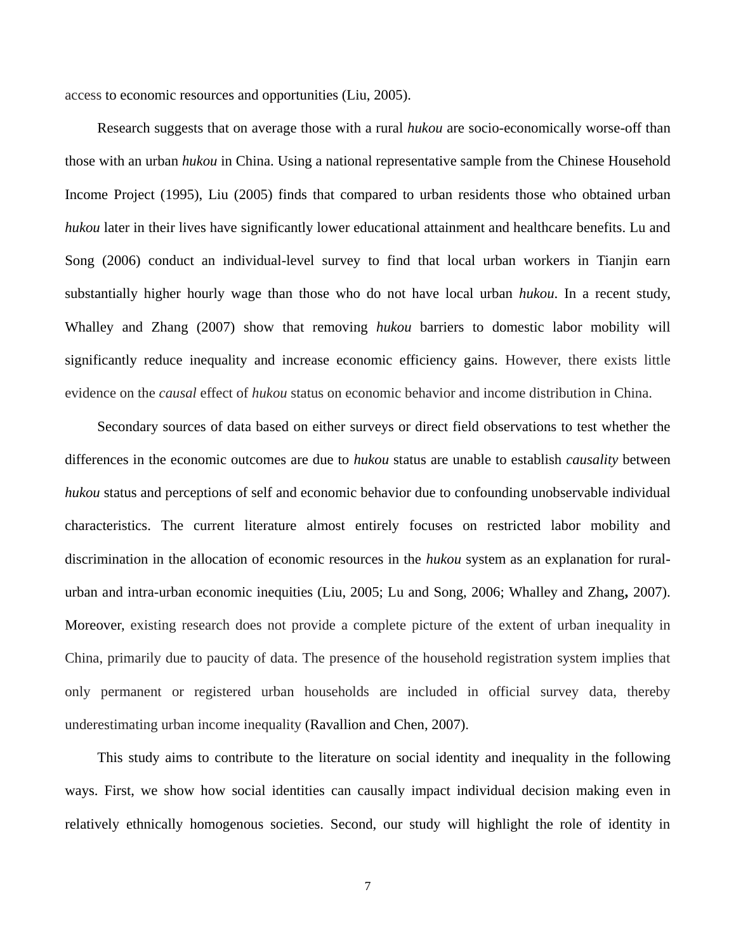access to economic resources and opportunities (Liu, 2005).

Research suggests that on average those with a rural *hukou* are socio-economically worse-off than those with an urban *hukou* in China. Using a national representative sample from the Chinese Household Income Project (1995), Liu (2005) finds that compared to urban residents those who obtained urban *hukou* later in their lives have significantly lower educational attainment and healthcare benefits. Lu and Song (2006) conduct an individual-level survey to find that local urban workers in Tianjin earn substantially higher hourly wage than those who do not have local urban *hukou*. In a recent study, Whalley and Zhang (2007) show that removing *hukou* barriers to domestic labor mobility will significantly reduce inequality and increase economic efficiency gains. However, there exists little evidence on the *causal* effect of *hukou* status on economic behavior and income distribution in China.

Secondary sources of data based on either surveys or direct field observations to test whether the differences in the economic outcomes are due to *hukou* status are unable to establish *causality* between *hukou* status and perceptions of self and economic behavior due to confounding unobservable individual characteristics. The current literature almost entirely focuses on restricted labor mobility and discrimination in the allocation of economic resources in the *hukou* system as an explanation for ruralurban and intra-urban economic inequities (Liu, 2005; Lu and Song, 2006; Whalley and Zhang**,** 2007). Moreover, existing research does not provide a complete picture of the extent of urban inequality in China, primarily due to paucity of data. The presence of the household registration system implies that only permanent or registered urban households are included in official survey data, thereby underestimating urban income inequality (Ravallion and Chen, 2007).

This study aims to contribute to the literature on social identity and inequality in the following ways. First, we show how social identities can causally impact individual decision making even in relatively ethnically homogenous societies. Second, our study will highlight the role of identity in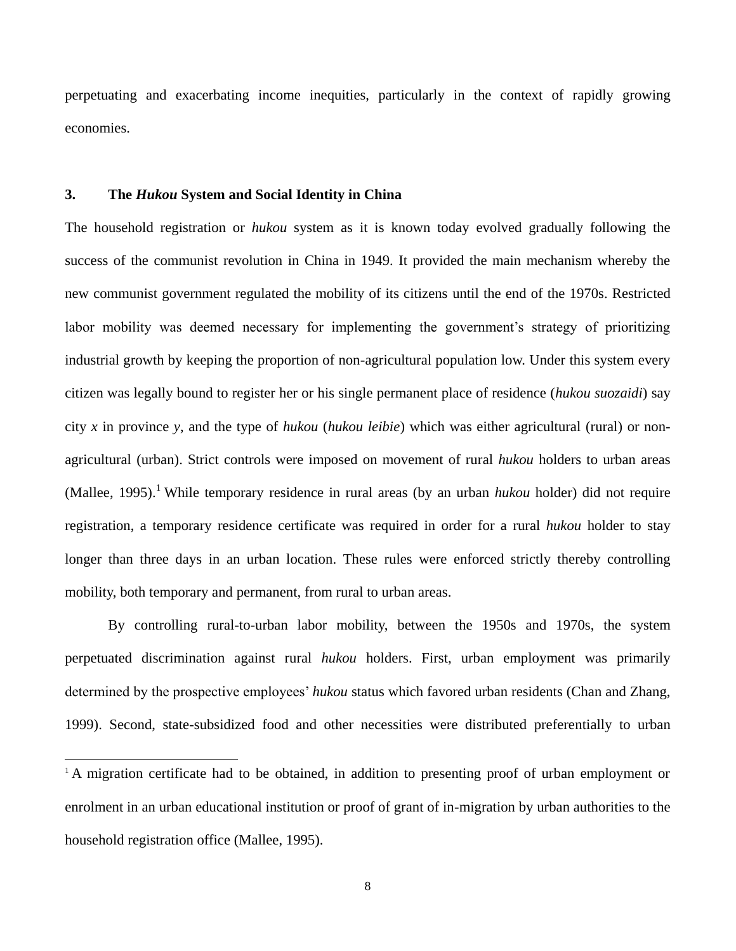perpetuating and exacerbating income inequities, particularly in the context of rapidly growing economies.

### **3. The** *Hukou* **System and Social Identity in China**

 $\overline{a}$ 

The household registration or *hukou* system as it is known today evolved gradually following the success of the communist revolution in China in 1949. It provided the main mechanism whereby the new communist government regulated the mobility of its citizens until the end of the 1970s. Restricted labor mobility was deemed necessary for implementing the government's strategy of prioritizing industrial growth by keeping the proportion of non-agricultural population low. Under this system every citizen was legally bound to register her or his single permanent place of residence (*hukou suozaidi*) say city *x* in province *y*, and the type of *hukou* (*hukou leibie*) which was either agricultural (rural) or nonagricultural (urban). Strict controls were imposed on movement of rural *hukou* holders to urban areas (Mallee, 1995).<sup>1</sup> While temporary residence in rural areas (by an urban *hukou* holder) did not require registration, a temporary residence certificate was required in order for a rural *hukou* holder to stay longer than three days in an urban location. These rules were enforced strictly thereby controlling mobility, both temporary and permanent, from rural to urban areas.

By controlling rural-to-urban labor mobility, between the 1950s and 1970s, the system perpetuated discrimination against rural *hukou* holders. First, urban employment was primarily determined by the prospective employees" *hukou* status which favored urban residents (Chan and Zhang, 1999). Second, state-subsidized food and other necessities were distributed preferentially to urban

<sup>&</sup>lt;sup>1</sup>A migration certificate had to be obtained, in addition to presenting proof of urban employment or enrolment in an urban educational institution or proof of grant of in-migration by urban authorities to the household registration office (Mallee, 1995).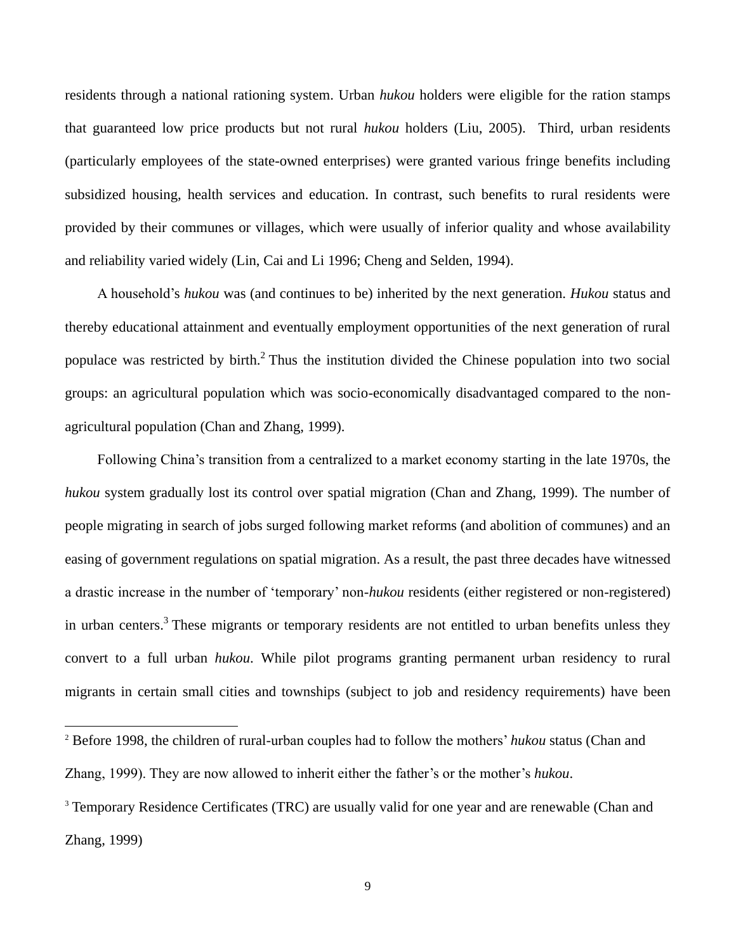residents through a national rationing system. Urban *hukou* holders were eligible for the ration stamps that guaranteed low price products but not rural *hukou* holders (Liu, 2005). Third, urban residents (particularly employees of the state-owned enterprises) were granted various fringe benefits including subsidized housing, health services and education. In contrast, such benefits to rural residents were provided by their communes or villages, which were usually of inferior quality and whose availability and reliability varied widely (Lin, Cai and Li 1996; Cheng and Selden, 1994).

A household"s *hukou* was (and continues to be) inherited by the next generation. *Hukou* status and thereby educational attainment and eventually employment opportunities of the next generation of rural populace was restricted by birth.<sup>2</sup> Thus the institution divided the Chinese population into two social groups: an agricultural population which was socio-economically disadvantaged compared to the nonagricultural population (Chan and Zhang, 1999).

Following China"s transition from a centralized to a market economy starting in the late 1970s, the *hukou* system gradually lost its control over spatial migration (Chan and Zhang, 1999). The number of people migrating in search of jobs surged following market reforms (and abolition of communes) and an easing of government regulations on spatial migration. As a result, the past three decades have witnessed a drastic increase in the number of "temporary" non-*hukou* residents (either registered or non-registered) in urban centers.<sup>3</sup> These migrants or temporary residents are not entitled to urban benefits unless they convert to a full urban *hukou*. While pilot programs granting permanent urban residency to rural migrants in certain small cities and townships (subject to job and residency requirements) have been

<sup>&</sup>lt;sup>2</sup> Before 1998, the children of rural-urban couples had to follow the mothers' *hukou* status (Chan and Zhang, 1999). They are now allowed to inherit either the father"s or the mother"s *hukou*.

<sup>&</sup>lt;sup>3</sup> Temporary Residence Certificates (TRC) are usually valid for one year and are renewable (Chan and Zhang, 1999)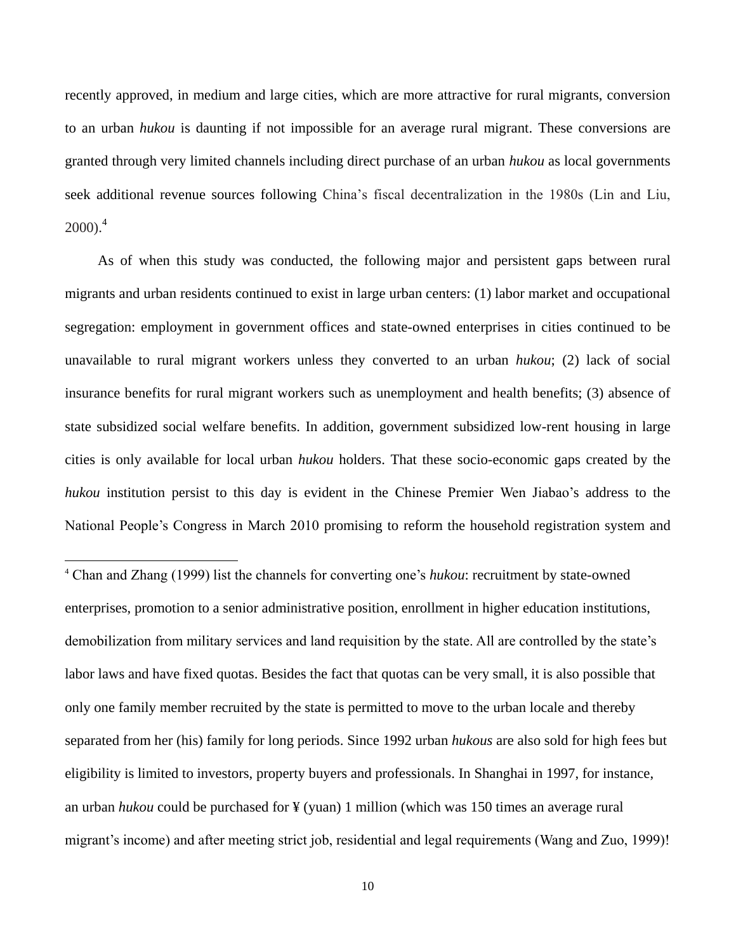recently approved, in medium and large cities, which are more attractive for rural migrants, conversion to an urban *hukou* is daunting if not impossible for an average rural migrant. These conversions are granted through very limited channels including direct purchase of an urban *hukou* as local governments seek additional revenue sources following China"s fiscal decentralization in the 1980s (Lin and Liu,  $2000$ ).<sup>4</sup>

As of when this study was conducted, the following major and persistent gaps between rural migrants and urban residents continued to exist in large urban centers: (1) labor market and occupational segregation: employment in government offices and state-owned enterprises in cities continued to be unavailable to rural migrant workers unless they converted to an urban *hukou*; (2) lack of social insurance benefits for rural migrant workers such as unemployment and health benefits; (3) absence of state subsidized social welfare benefits. In addition, government subsidized low-rent housing in large cities is only available for local urban *hukou* holders. That these socio-economic gaps created by the *hukou* institution persist to this day is evident in the Chinese Premier Wen Jiabao's address to the National People"s Congress in March 2010 promising to reform the household registration system and

<sup>4</sup> Chan and Zhang (1999) list the channels for converting one"s *hukou*: recruitment by state-owned enterprises, promotion to a senior administrative position, enrollment in higher education institutions, demobilization from military services and land requisition by the state. All are controlled by the state"s labor laws and have fixed quotas. Besides the fact that quotas can be very small, it is also possible that only one family member recruited by the state is permitted to move to the urban locale and thereby separated from her (his) family for long periods. Since 1992 urban *hukous* are also sold for high fees but eligibility is limited to investors, property buyers and professionals. In Shanghai in 1997, for instance, an urban *hukou* could be purchased for ¥ (yuan) 1 million (which was 150 times an average rural migrant"s income) and after meeting strict job, residential and legal requirements (Wang and Zuo, 1999)!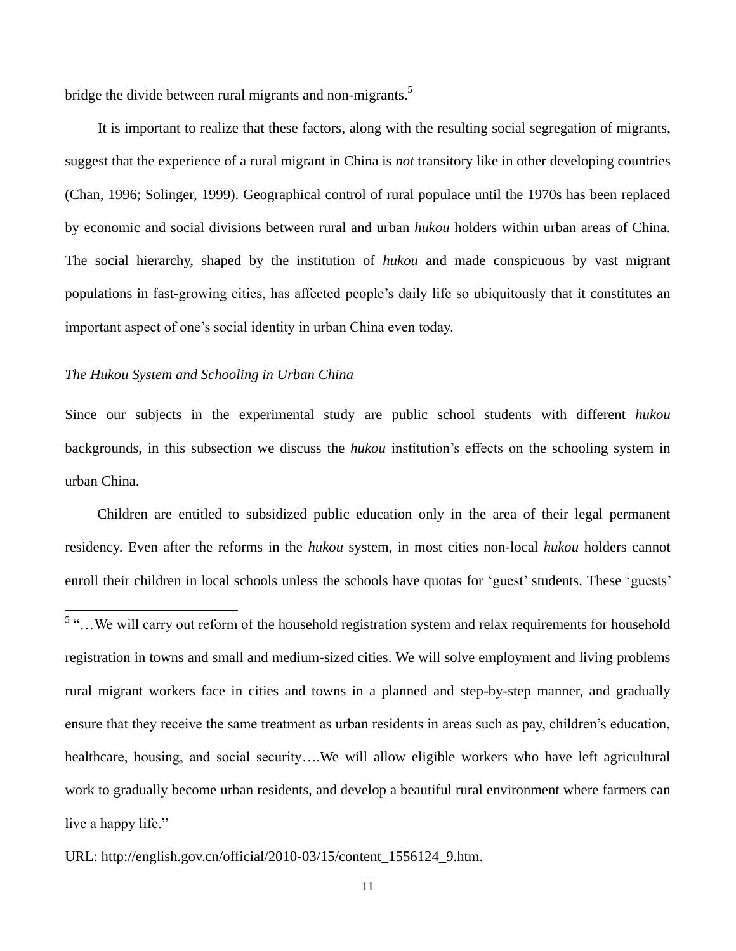bridge the divide between rural migrants and non-migrants.<sup>5</sup>

It is important to realize that these factors, along with the resulting social segregation of migrants, suggest that the experience of a rural migrant in China is *not* transitory like in other developing countries (Chan, 1996; Solinger, 1999). Geographical control of rural populace until the 1970s has been replaced by economic and social divisions between rural and urban *hukou* holders within urban areas of China. The social hierarchy, shaped by the institution of *hukou* and made conspicuous by vast migrant populations in fast-growing cities, has affected people"s daily life so ubiquitously that it constitutes an important aspect of one"s social identity in urban China even today.

#### *The Hukou System and Schooling in Urban China*

Since our subjects in the experimental study are public school students with different *hukou* backgrounds, in this subsection we discuss the *hukou* institution"s effects on the schooling system in urban China.

Children are entitled to subsidized public education only in the area of their legal permanent residency. Even after the reforms in the *hukou* system, in most cities non-local *hukou* holders cannot enroll their children in local schools unless the schools have quotas for 'guest' students. These 'guests'

<sup>&</sup>lt;sup>5</sup> "...We will carry out reform of the household registration system and relax requirements for household registration in towns and small and medium-sized cities. We will solve employment and living problems rural migrant workers face in cities and towns in a planned and step-by-step manner, and gradually ensure that they receive the same treatment as urban residents in areas such as pay, children's education, healthcare, housing, and social security….We will allow eligible workers who have left agricultural work to gradually become urban residents, and develop a beautiful rural environment where farmers can live a happy life."

URL: http://english.gov.cn/official/2010-03/15/content\_1556124\_9.htm.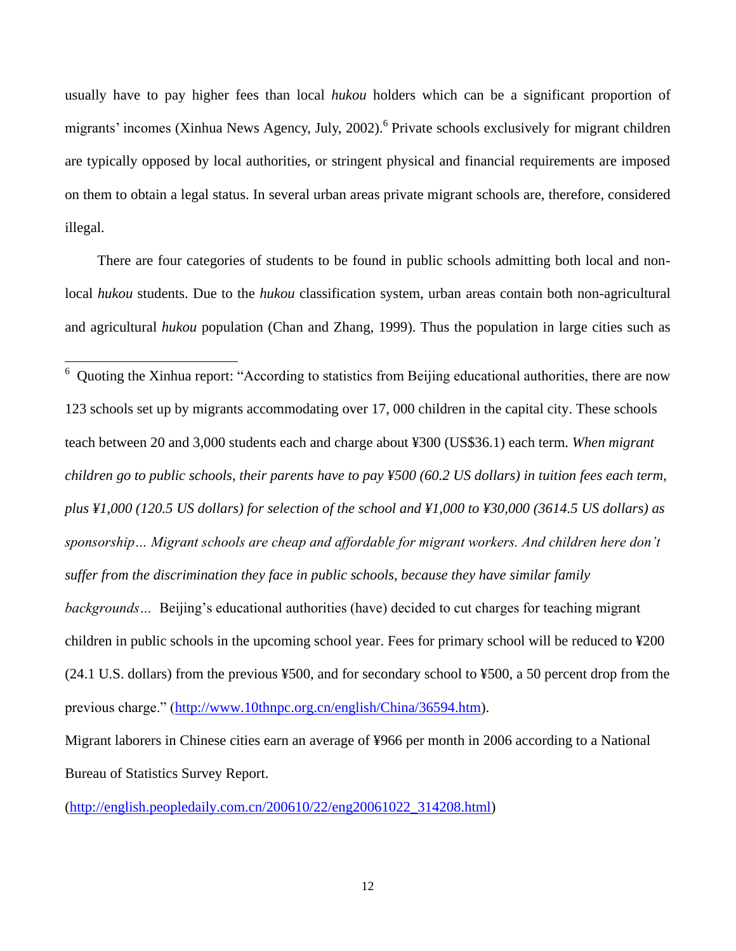usually have to pay higher fees than local *hukou* holders which can be a significant proportion of migrants' incomes (Xinhua News Agency, July, 2002).<sup>6</sup> Private schools exclusively for migrant children are typically opposed by local authorities, or stringent physical and financial requirements are imposed on them to obtain a legal status. In several urban areas private migrant schools are, therefore, considered illegal.

There are four categories of students to be found in public schools admitting both local and nonlocal *hukou* students. Due to the *hukou* classification system, urban areas contain both non-agricultural and agricultural *hukou* population (Chan and Zhang, 1999). Thus the population in large cities such as

6 Quoting the Xinhua report: "According to statistics from Beijing educational authorities, there are now 123 schools set up by migrants accommodating over 17, 000 children in the capital city. These schools teach between 20 and 3,000 students each and charge about ¥300 (US\$36.1) each term. *When migrant children go to public schools, their parents have to pay ¥500 (60.2 US dollars) in tuition fees each term, plus ¥1,000 (120.5 US dollars) for selection of the school and ¥1,000 to ¥30,000 (3614.5 US dollars) as sponsorship… Migrant schools are cheap and affordable for migrant workers. And children here don't suffer from the discrimination they face in public schools, because they have similar family backgrounds*... Beijing's educational authorities (have) decided to cut charges for teaching migrant children in public schools in the upcoming school year. Fees for primary school will be reduced to ¥200 (24.1 U.S. dollars) from the previous ¥500, and for secondary school to ¥500, a 50 percent drop from the previous charge." [\(http://www.10thnpc.org.cn/english/China/36594.htm\)](http://www.10thnpc.org.cn/english/China/36594.htm).

Migrant laborers in Chinese cities earn an average of ¥966 per month in 2006 according to a National Bureau of Statistics Survey Report.

[\(http://english.peopledaily.com.cn/200610/22/eng20061022\\_314208.html\)](http://english.peopledaily.com.cn/200610/22/eng20061022_314208.html)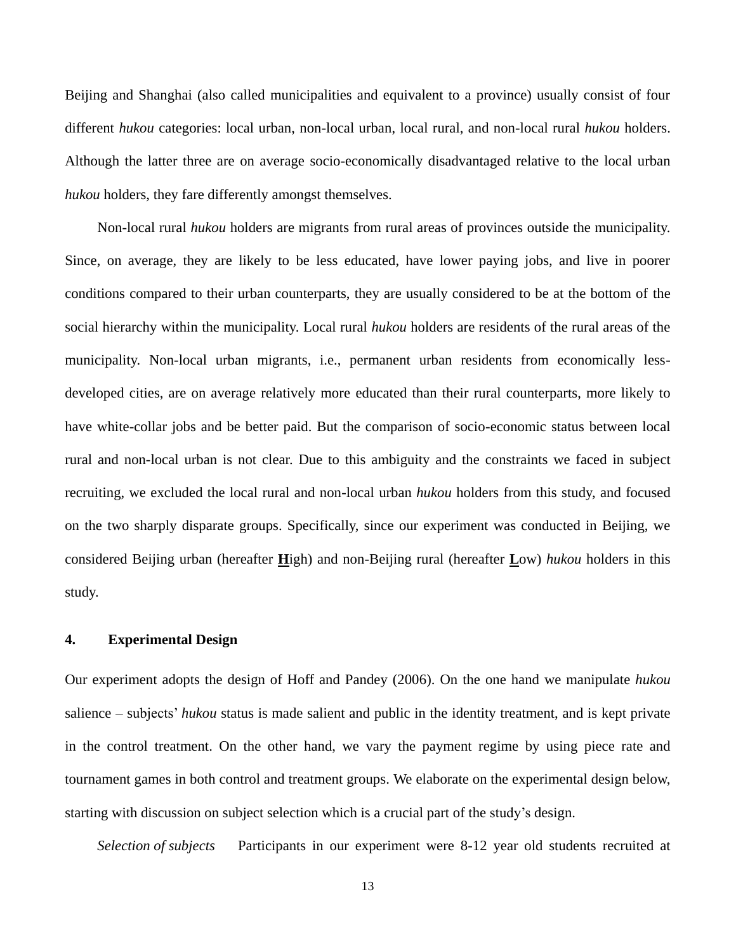Beijing and Shanghai (also called municipalities and equivalent to a province) usually consist of four different *hukou* categories: local urban, non-local urban, local rural, and non-local rural *hukou* holders. Although the latter three are on average socio-economically disadvantaged relative to the local urban *hukou* holders, they fare differently amongst themselves.

Non-local rural *hukou* holders are migrants from rural areas of provinces outside the municipality. Since, on average, they are likely to be less educated, have lower paying jobs, and live in poorer conditions compared to their urban counterparts, they are usually considered to be at the bottom of the social hierarchy within the municipality. Local rural *hukou* holders are residents of the rural areas of the municipality. Non-local urban migrants, i.e., permanent urban residents from economically lessdeveloped cities, are on average relatively more educated than their rural counterparts, more likely to have white-collar jobs and be better paid. But the comparison of socio-economic status between local rural and non-local urban is not clear. Due to this ambiguity and the constraints we faced in subject recruiting, we excluded the local rural and non-local urban *hukou* holders from this study, and focused on the two sharply disparate groups. Specifically, since our experiment was conducted in Beijing, we considered Beijing urban (hereafter **H**igh) and non-Beijing rural (hereafter **L**ow) *hukou* holders in this study.

### **4. Experimental Design**

Our experiment adopts the design of Hoff and Pandey (2006). On the one hand we manipulate *hukou* salience – subjects' *hukou* status is made salient and public in the identity treatment, and is kept private in the control treatment. On the other hand, we vary the payment regime by using piece rate and tournament games in both control and treatment groups. We elaborate on the experimental design below, starting with discussion on subject selection which is a crucial part of the study"s design.

*Selection of subjects* Participants in our experiment were 8-12 year old students recruited at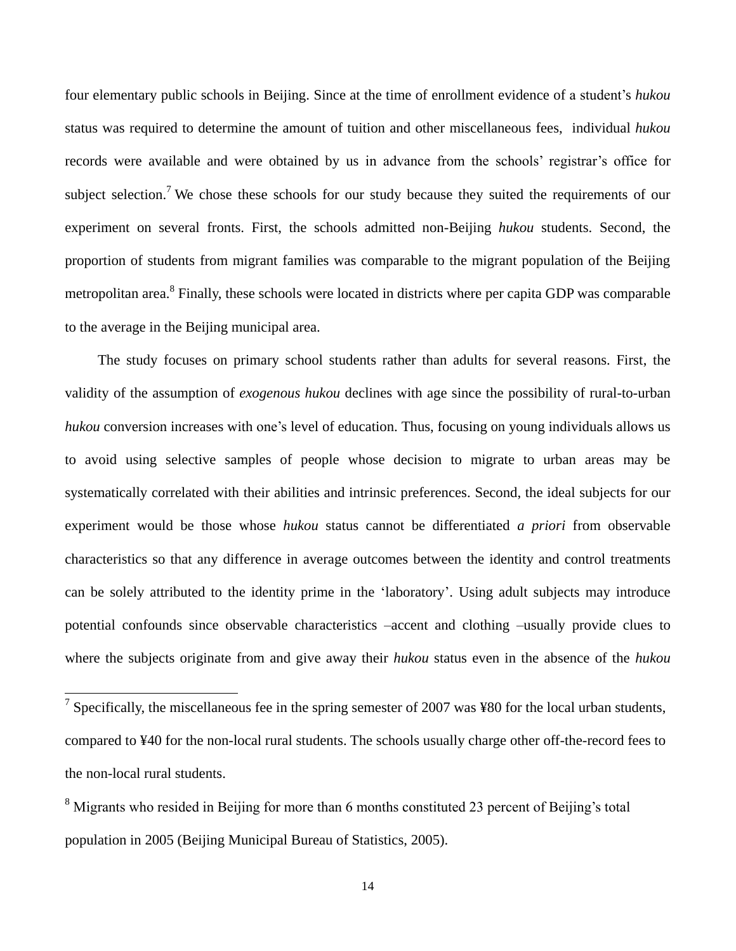four elementary public schools in Beijing. Since at the time of enrollment evidence of a student"s *hukou* status was required to determine the amount of tuition and other miscellaneous fees, individual *hukou* records were available and were obtained by us in advance from the schools' registrar's office for subject selection.<sup>7</sup> We chose these schools for our study because they suited the requirements of our experiment on several fronts. First, the schools admitted non-Beijing *hukou* students. Second, the proportion of students from migrant families was comparable to the migrant population of the Beijing metropolitan area.<sup>8</sup> Finally, these schools were located in districts where per capita GDP was comparable to the average in the Beijing municipal area.

The study focuses on primary school students rather than adults for several reasons. First, the validity of the assumption of *exogenous hukou* declines with age since the possibility of rural-to-urban *hukou* conversion increases with one's level of education. Thus, focusing on young individuals allows us to avoid using selective samples of people whose decision to migrate to urban areas may be systematically correlated with their abilities and intrinsic preferences. Second, the ideal subjects for our experiment would be those whose *hukou* status cannot be differentiated *a priori* from observable characteristics so that any difference in average outcomes between the identity and control treatments can be solely attributed to the identity prime in the "laboratory". Using adult subjects may introduce potential confounds since observable characteristics –accent and clothing –usually provide clues to where the subjects originate from and give away their *hukou* status even in the absence of the *hukou*

 $\frac{7}{7}$  Specifically, the miscellaneous fee in the spring semester of 2007 was ¥80 for the local urban students, compared to ¥40 for the non-local rural students. The schools usually charge other off-the-record fees to the non-local rural students.

<sup>&</sup>lt;sup>8</sup> Migrants who resided in Beijing for more than 6 months constituted 23 percent of Beijing's total population in 2005 (Beijing Municipal Bureau of Statistics, 2005).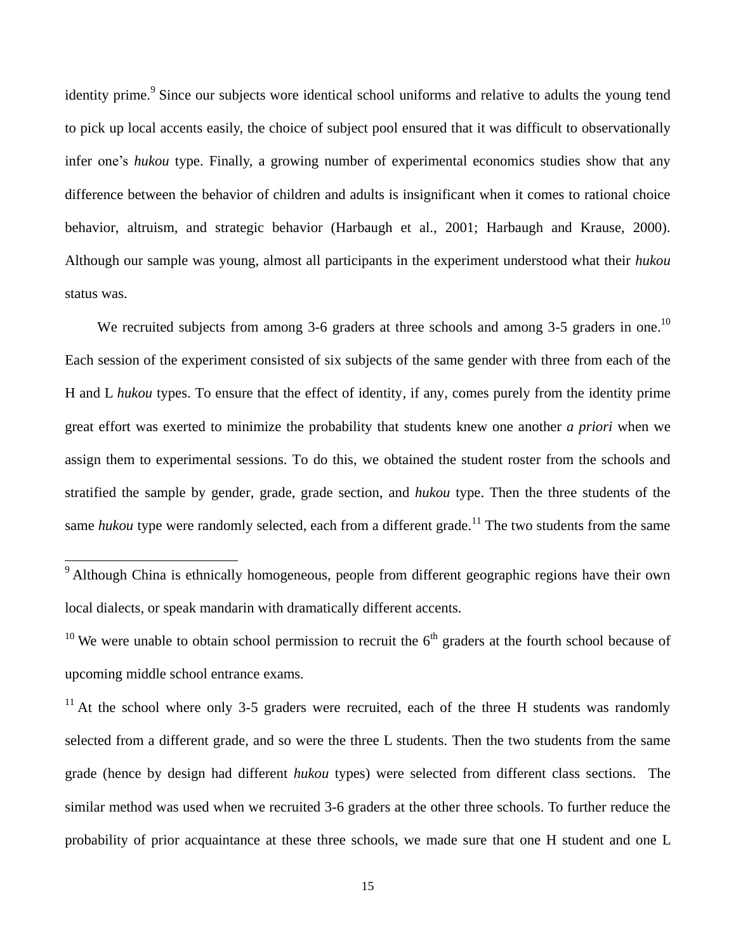identity prime.<sup>9</sup> Since our subjects wore identical school uniforms and relative to adults the young tend to pick up local accents easily, the choice of subject pool ensured that it was difficult to observationally infer one's *hukou* type. Finally, a growing number of experimental economics studies show that any difference between the behavior of children and adults is insignificant when it comes to rational choice behavior, altruism, and strategic behavior (Harbaugh et al., 2001; Harbaugh and Krause, 2000). Although our sample was young, almost all participants in the experiment understood what their *hukou* status was.

We recruited subjects from among 3-6 graders at three schools and among 3-5 graders in one.<sup>10</sup> Each session of the experiment consisted of six subjects of the same gender with three from each of the H and L *hukou* types. To ensure that the effect of identity, if any, comes purely from the identity prime great effort was exerted to minimize the probability that students knew one another *a priori* when we assign them to experimental sessions. To do this, we obtained the student roster from the schools and stratified the sample by gender, grade, grade section, and *hukou* type. Then the three students of the same *hukou* type were randomly selected, each from a different grade.<sup>11</sup> The two students from the same

 $9$  Although China is ethnically homogeneous, people from different geographic regions have their own local dialects, or speak mandarin with dramatically different accents.

<sup>&</sup>lt;sup>10</sup> We were unable to obtain school permission to recruit the  $6<sup>th</sup>$  graders at the fourth school because of upcoming middle school entrance exams.

<sup>&</sup>lt;sup>11</sup> At the school where only 3-5 graders were recruited, each of the three H students was randomly selected from a different grade, and so were the three L students. Then the two students from the same grade (hence by design had different *hukou* types) were selected from different class sections. The similar method was used when we recruited 3-6 graders at the other three schools. To further reduce the probability of prior acquaintance at these three schools, we made sure that one H student and one L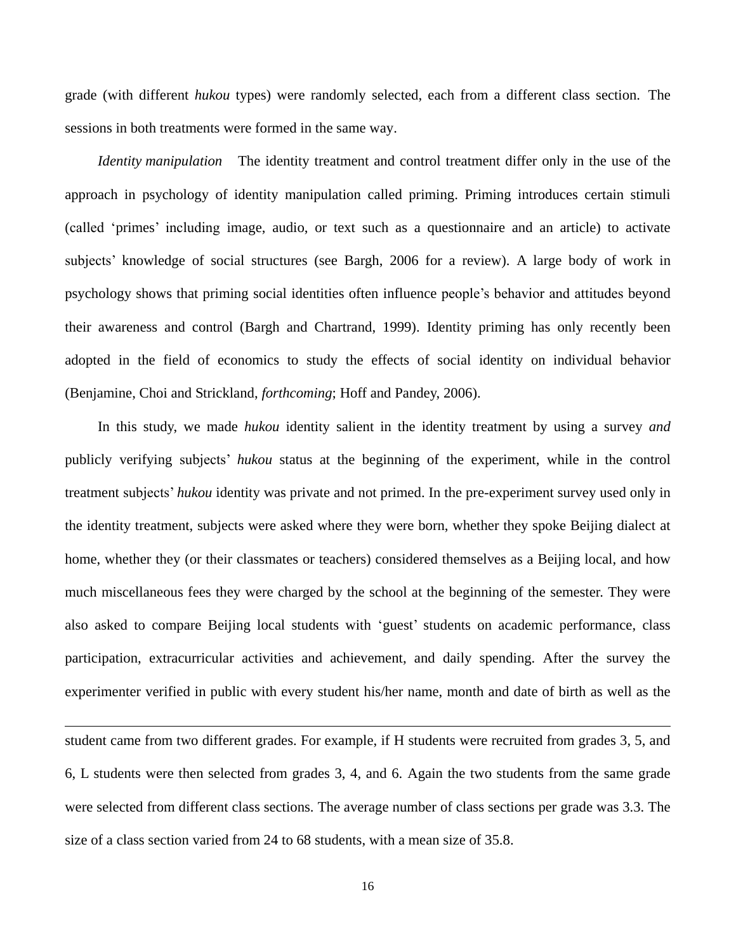grade (with different *hukou* types) were randomly selected, each from a different class section. The sessions in both treatments were formed in the same way.

*Identity manipulation* The identity treatment and control treatment differ only in the use of the approach in psychology of identity manipulation called priming. Priming introduces certain stimuli (called "primes" including image, audio, or text such as a questionnaire and an article) to activate subjects' knowledge of social structures (see Bargh, 2006 for a review). A large body of work in psychology shows that priming social identities often influence people"s behavior and attitudes beyond their awareness and control (Bargh and Chartrand, 1999). Identity priming has only recently been adopted in the field of economics to study the effects of social identity on individual behavior (Benjamine, Choi and Strickland, *forthcoming*; Hoff and Pandey, 2006).

In this study, we made *hukou* identity salient in the identity treatment by using a survey *and* publicly verifying subjects" *hukou* status at the beginning of the experiment, while in the control treatment subjects" *hukou* identity was private and not primed. In the pre-experiment survey used only in the identity treatment, subjects were asked where they were born, whether they spoke Beijing dialect at home, whether they (or their classmates or teachers) considered themselves as a Beijing local, and how much miscellaneous fees they were charged by the school at the beginning of the semester. They were also asked to compare Beijing local students with "guest" students on academic performance, class participation, extracurricular activities and achievement, and daily spending. After the survey the experimenter verified in public with every student his/her name, month and date of birth as well as the

student came from two different grades. For example, if H students were recruited from grades 3, 5, and 6, L students were then selected from grades 3, 4, and 6. Again the two students from the same grade were selected from different class sections. The average number of class sections per grade was 3.3. The size of a class section varied from 24 to 68 students, with a mean size of 35.8.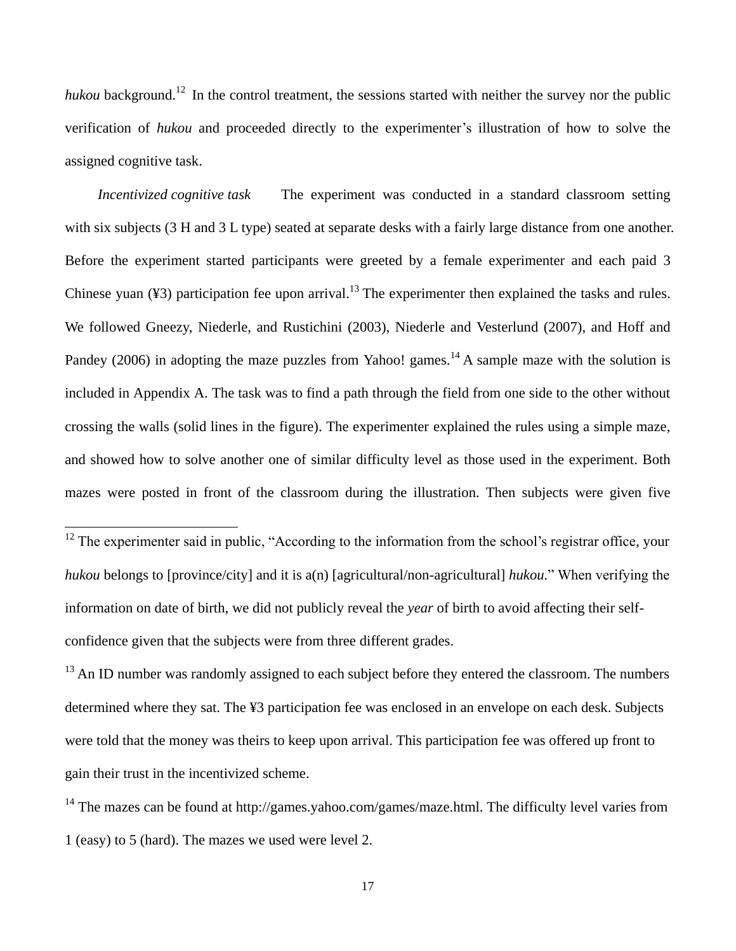*hukou* background.<sup>12</sup> In the control treatment, the sessions started with neither the survey nor the public verification of *hukou* and proceeded directly to the experimenter's illustration of how to solve the assigned cognitive task.

*Incentivized cognitive task* The experiment was conducted in a standard classroom setting with six subjects (3 H and 3 L type) seated at separate desks with a fairly large distance from one another. Before the experiment started participants were greeted by a female experimenter and each paid 3 Chinese yuan  $(\frac{43}{3})$  participation fee upon arrival.<sup>13</sup> The experimenter then explained the tasks and rules. We followed Gneezy, Niederle, and Rustichini (2003), Niederle and Vesterlund (2007), and Hoff and Pandey (2006) in adopting the maze puzzles from Yahoo! games.<sup>14</sup> A sample maze with the solution is included in Appendix A. The task was to find a path through the field from one side to the other without crossing the walls (solid lines in the figure). The experimenter explained the rules using a simple maze, and showed how to solve another one of similar difficulty level as those used in the experiment. Both mazes were posted in front of the classroom during the illustration. Then subjects were given five

 $12$  The experimenter said in public, "According to the information from the school's registrar office, your *hukou* belongs to [province/city] and it is a(n) [agricultural/non-agricultural] *hukou.*" When verifying the information on date of birth, we did not publicly reveal the *year* of birth to avoid affecting their selfconfidence given that the subjects were from three different grades.

 $\overline{a}$ 

 $13$  An ID number was randomly assigned to each subject before they entered the classroom. The numbers determined where they sat. The ¥3 participation fee was enclosed in an envelope on each desk. Subjects were told that the money was theirs to keep upon arrival. This participation fee was offered up front to gain their trust in the incentivized scheme.

<sup>14</sup> The mazes can be found at http://games.yahoo.com/games/maze.html. The difficulty level varies from 1 (easy) to 5 (hard). The mazes we used were level 2.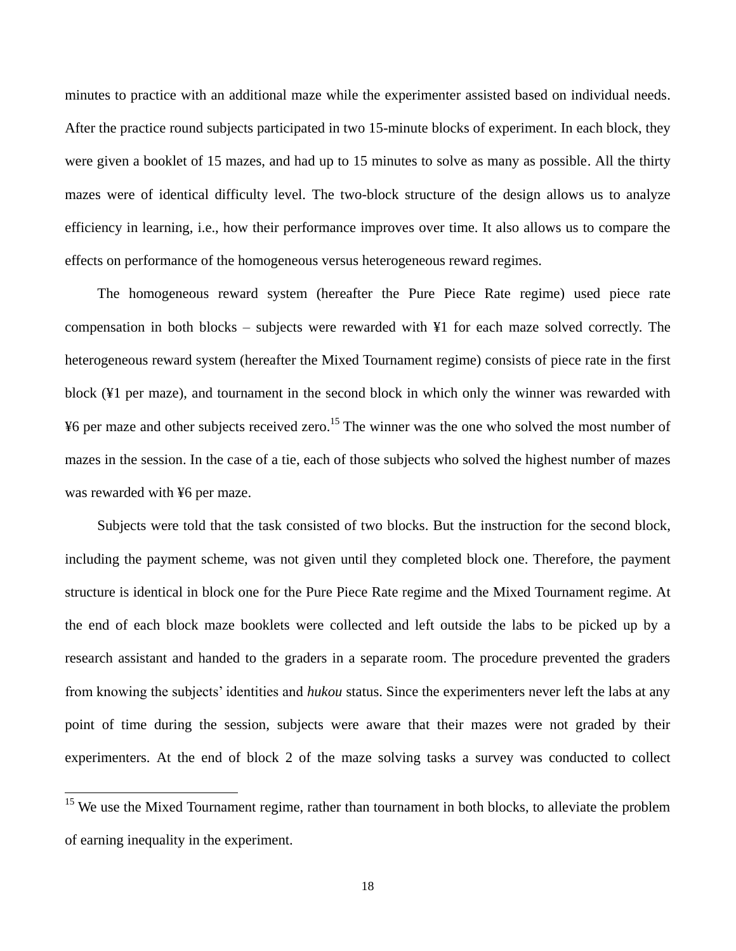minutes to practice with an additional maze while the experimenter assisted based on individual needs. After the practice round subjects participated in two 15-minute blocks of experiment. In each block, they were given a booklet of 15 mazes, and had up to 15 minutes to solve as many as possible. All the thirty mazes were of identical difficulty level. The two-block structure of the design allows us to analyze efficiency in learning, i.e., how their performance improves over time. It also allows us to compare the effects on performance of the homogeneous versus heterogeneous reward regimes.

The homogeneous reward system (hereafter the Pure Piece Rate regime) used piece rate compensation in both blocks – subjects were rewarded with ¥1 for each maze solved correctly. The heterogeneous reward system (hereafter the Mixed Tournament regime) consists of piece rate in the first block (¥1 per maze), and tournament in the second block in which only the winner was rewarded with ¥6 per maze and other subjects received zero.<sup>15</sup> The winner was the one who solved the most number of mazes in the session. In the case of a tie, each of those subjects who solved the highest number of mazes was rewarded with ¥6 per maze.

Subjects were told that the task consisted of two blocks. But the instruction for the second block, including the payment scheme, was not given until they completed block one. Therefore, the payment structure is identical in block one for the Pure Piece Rate regime and the Mixed Tournament regime. At the end of each block maze booklets were collected and left outside the labs to be picked up by a research assistant and handed to the graders in a separate room. The procedure prevented the graders from knowing the subjects" identities and *hukou* status. Since the experimenters never left the labs at any point of time during the session, subjects were aware that their mazes were not graded by their experimenters. At the end of block 2 of the maze solving tasks a survey was conducted to collect

<sup>&</sup>lt;sup>15</sup> We use the Mixed Tournament regime, rather than tournament in both blocks, to alleviate the problem of earning inequality in the experiment.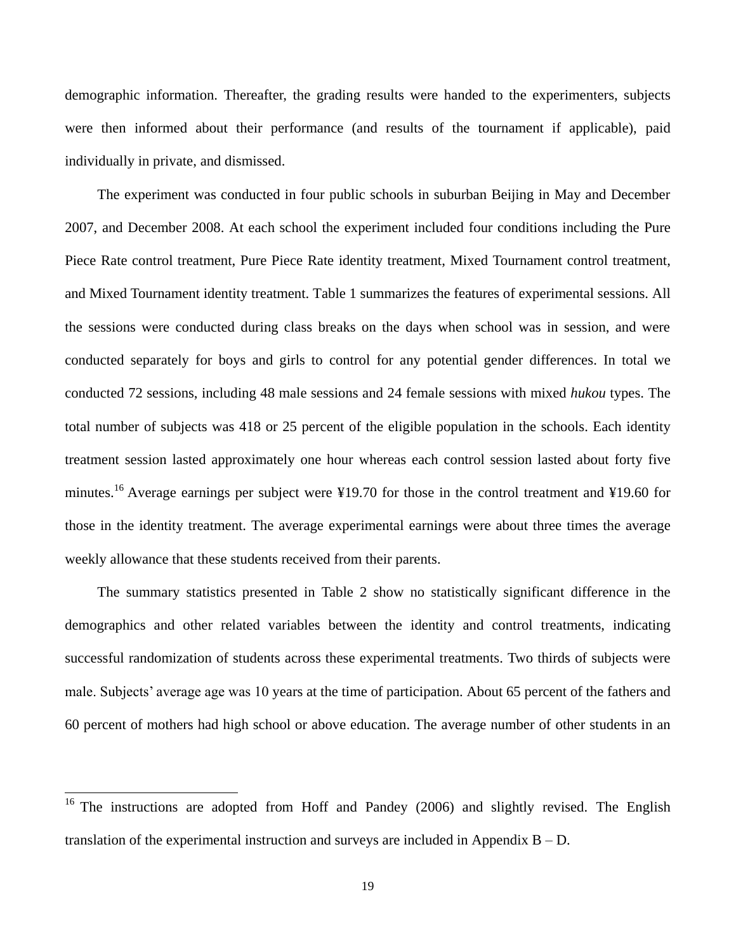demographic information. Thereafter, the grading results were handed to the experimenters, subjects were then informed about their performance (and results of the tournament if applicable), paid individually in private, and dismissed.

The experiment was conducted in four public schools in suburban Beijing in May and December 2007, and December 2008. At each school the experiment included four conditions including the Pure Piece Rate control treatment, Pure Piece Rate identity treatment, Mixed Tournament control treatment, and Mixed Tournament identity treatment. Table 1 summarizes the features of experimental sessions. All the sessions were conducted during class breaks on the days when school was in session, and were conducted separately for boys and girls to control for any potential gender differences. In total we conducted 72 sessions, including 48 male sessions and 24 female sessions with mixed *hukou* types. The total number of subjects was 418 or 25 percent of the eligible population in the schools. Each identity treatment session lasted approximately one hour whereas each control session lasted about forty five minutes.<sup>16</sup> Average earnings per subject were ¥19.70 for those in the control treatment and ¥19.60 for those in the identity treatment. The average experimental earnings were about three times the average weekly allowance that these students received from their parents.

The summary statistics presented in Table 2 show no statistically significant difference in the demographics and other related variables between the identity and control treatments, indicating successful randomization of students across these experimental treatments. Two thirds of subjects were male. Subjects' average age was 10 years at the time of participation. About 65 percent of the fathers and 60 percent of mothers had high school or above education. The average number of other students in an

<sup>&</sup>lt;sup>16</sup> The instructions are adopted from Hoff and Pandey (2006) and slightly revised. The English translation of the experimental instruction and surveys are included in Appendix  $B - D$ .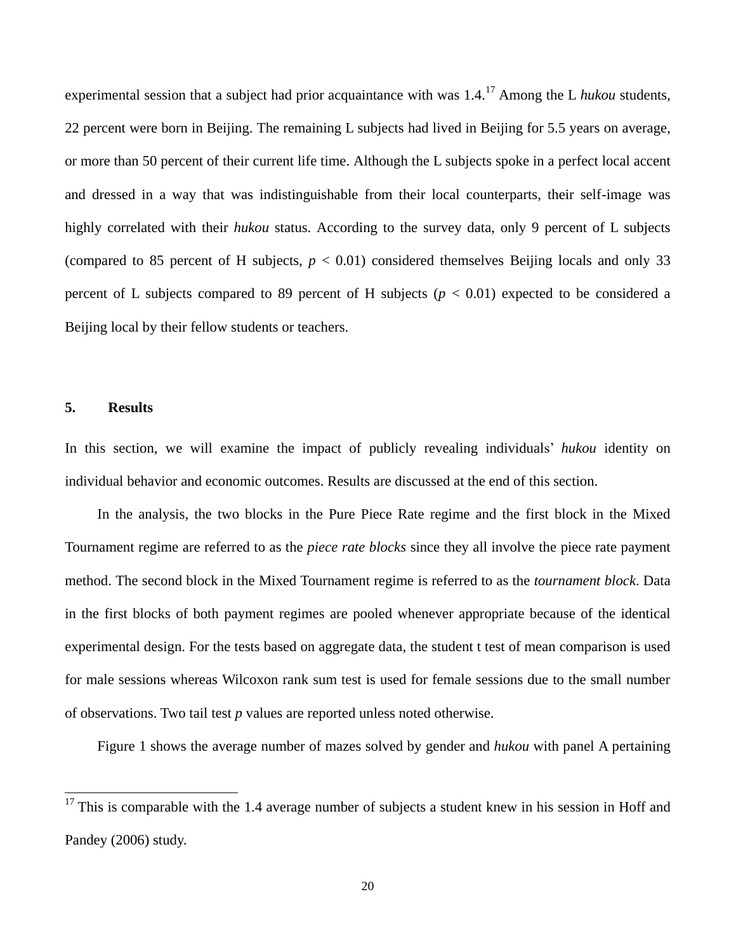experimental session that a subject had prior acquaintance with was 1.4.<sup>17</sup> Among the L *hukou* students, 22 percent were born in Beijing. The remaining L subjects had lived in Beijing for 5.5 years on average, or more than 50 percent of their current life time. Although the L subjects spoke in a perfect local accent and dressed in a way that was indistinguishable from their local counterparts, their self-image was highly correlated with their *hukou* status. According to the survey data, only 9 percent of L subjects (compared to 85 percent of H subjects,  $p < 0.01$ ) considered themselves Beijing locals and only 33 percent of L subjects compared to 89 percent of H subjects  $(p < 0.01)$  expected to be considered a Beijing local by their fellow students or teachers.

#### **5. Results**

 $\overline{a}$ 

In this section, we will examine the impact of publicly revealing individuals" *hukou* identity on individual behavior and economic outcomes. Results are discussed at the end of this section.

In the analysis, the two blocks in the Pure Piece Rate regime and the first block in the Mixed Tournament regime are referred to as the *piece rate blocks* since they all involve the piece rate payment method. The second block in the Mixed Tournament regime is referred to as the *tournament block*. Data in the first blocks of both payment regimes are pooled whenever appropriate because of the identical experimental design. For the tests based on aggregate data, the student t test of mean comparison is used for male sessions whereas Wilcoxon rank sum test is used for female sessions due to the small number of observations. Two tail test *p* values are reported unless noted otherwise.

Figure 1 shows the average number of mazes solved by gender and *hukou* with panel A pertaining

 $17$  This is comparable with the 1.4 average number of subjects a student knew in his session in Hoff and Pandey (2006) study.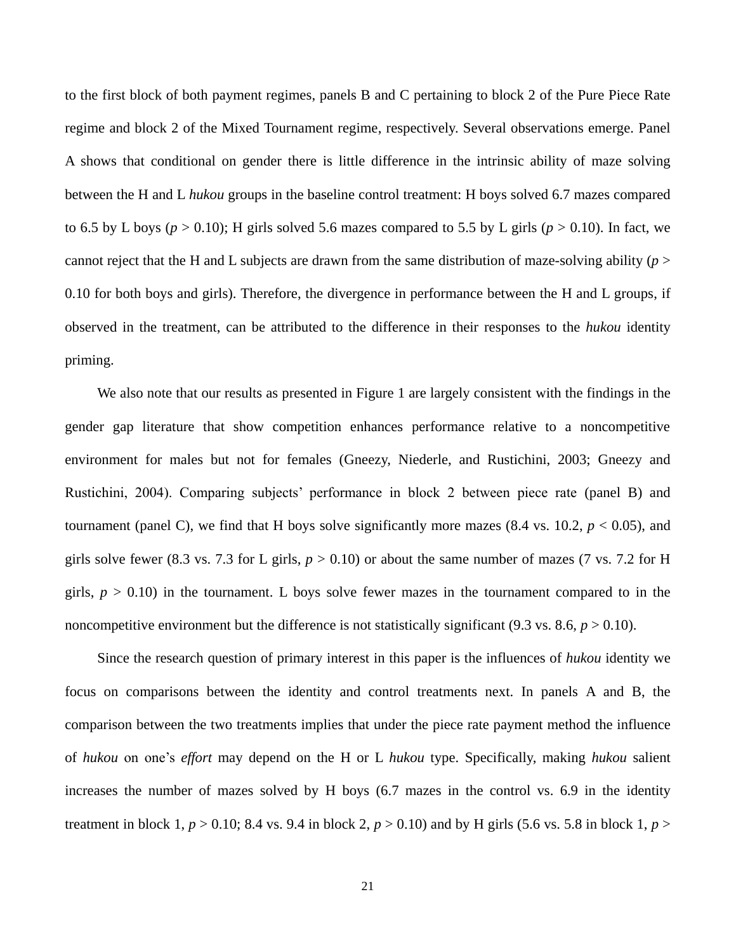to the first block of both payment regimes, panels B and C pertaining to block 2 of the Pure Piece Rate regime and block 2 of the Mixed Tournament regime, respectively. Several observations emerge. Panel A shows that conditional on gender there is little difference in the intrinsic ability of maze solving between the H and L *hukou* groups in the baseline control treatment: H boys solved 6.7 mazes compared to 6.5 by L boys ( $p > 0.10$ ); H girls solved 5.6 mazes compared to 5.5 by L girls ( $p > 0.10$ ). In fact, we cannot reject that the H and L subjects are drawn from the same distribution of maze-solving ability (*p* > 0.10 for both boys and girls). Therefore, the divergence in performance between the H and L groups, if observed in the treatment, can be attributed to the difference in their responses to the *hukou* identity priming.

We also note that our results as presented in Figure 1 are largely consistent with the findings in the gender gap literature that show competition enhances performance relative to a noncompetitive environment for males but not for females (Gneezy, Niederle, and Rustichini, 2003; Gneezy and Rustichini, 2004). Comparing subjects' performance in block 2 between piece rate (panel B) and tournament (panel C), we find that H boys solve significantly more mazes  $(8.4 \text{ vs. } 10.2, p < 0.05)$ , and girls solve fewer (8.3 vs. 7.3 for L girls,  $p > 0.10$ ) or about the same number of mazes (7 vs. 7.2 for H girls,  $p > 0.10$ ) in the tournament. L boys solve fewer mazes in the tournament compared to in the noncompetitive environment but the difference is not statistically significant (9.3 vs. 8.6,  $p > 0.10$ ).

Since the research question of primary interest in this paper is the influences of *hukou* identity we focus on comparisons between the identity and control treatments next. In panels A and B, the comparison between the two treatments implies that under the piece rate payment method the influence of *hukou* on one"s *effort* may depend on the H or L *hukou* type. Specifically, making *hukou* salient increases the number of mazes solved by H boys (6.7 mazes in the control vs. 6.9 in the identity treatment in block 1,  $p > 0.10$ ; 8.4 vs. 9.4 in block 2,  $p > 0.10$ ) and by H girls (5.6 vs. 5.8 in block 1,  $p >$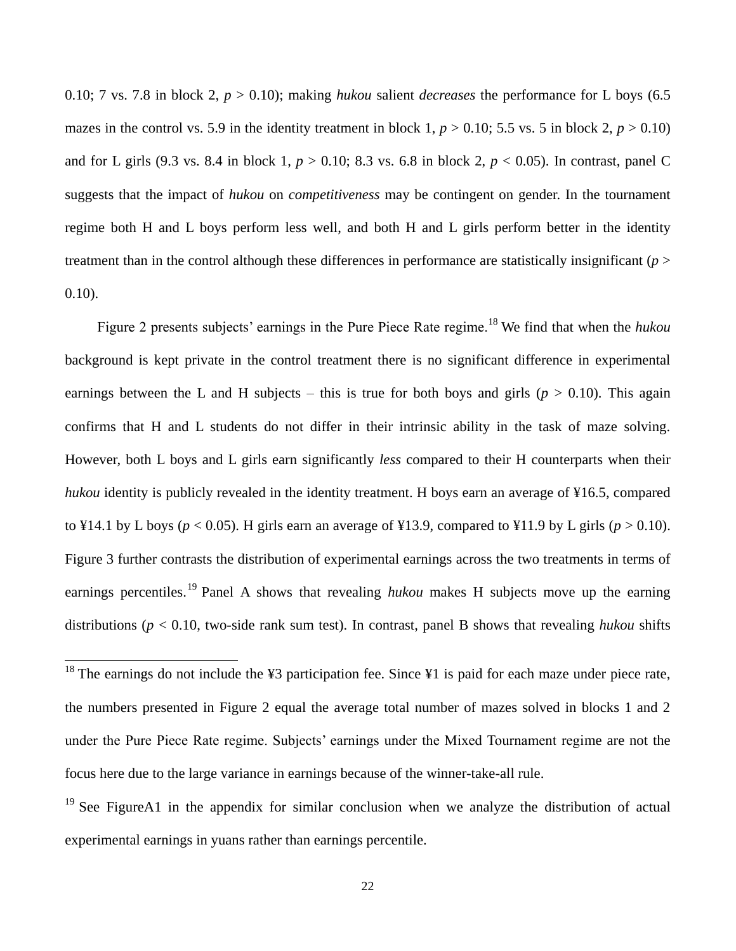0.10; 7 vs. 7.8 in block 2,  $p > 0.10$ ); making *hukou* salient *decreases* the performance for L boys (6.5) mazes in the control vs. 5.9 in the identity treatment in block 1,  $p > 0.10$ ; 5.5 vs. 5 in block 2,  $p > 0.10$ ) and for L girls (9.3 vs. 8.4 in block 1, *p* > 0.10; 8.3 vs. 6.8 in block 2, *p* < 0.05). In contrast, panel C suggests that the impact of *hukou* on *competitiveness* may be contingent on gender. In the tournament regime both H and L boys perform less well, and both H and L girls perform better in the identity treatment than in the control although these differences in performance are statistically insignificant (*p* > 0.10).

Figure 2 presents subjects' earnings in the Pure Piece Rate regime.<sup>18</sup> We find that when the *hukou* background is kept private in the control treatment there is no significant difference in experimental earnings between the L and H subjects – this is true for both boys and girls ( $p > 0.10$ ). This again confirms that H and L students do not differ in their intrinsic ability in the task of maze solving. However, both L boys and L girls earn significantly *less* compared to their H counterparts when their *hukou* identity is publicly revealed in the identity treatment. H boys earn an average of ¥16.5, compared to ¥14.1 by L boys ( $p < 0.05$ ). H girls earn an average of ¥13.9, compared to ¥11.9 by L girls ( $p > 0.10$ ). Figure 3 further contrasts the distribution of experimental earnings across the two treatments in terms of earnings percentiles.<sup>19</sup> Panel A shows that revealing *hukou* makes H subjects move up the earning distributions (*p* < 0.10, two-side rank sum test). In contrast, panel B shows that revealing *hukou* shifts

<sup>&</sup>lt;sup>18</sup> The earnings do not include the ¥3 participation fee. Since ¥1 is paid for each maze under piece rate, the numbers presented in Figure 2 equal the average total number of mazes solved in blocks 1 and 2 under the Pure Piece Rate regime. Subjects' earnings under the Mixed Tournament regime are not the focus here due to the large variance in earnings because of the winner-take-all rule.

<sup>&</sup>lt;sup>19</sup> See FigureA1 in the appendix for similar conclusion when we analyze the distribution of actual experimental earnings in yuans rather than earnings percentile.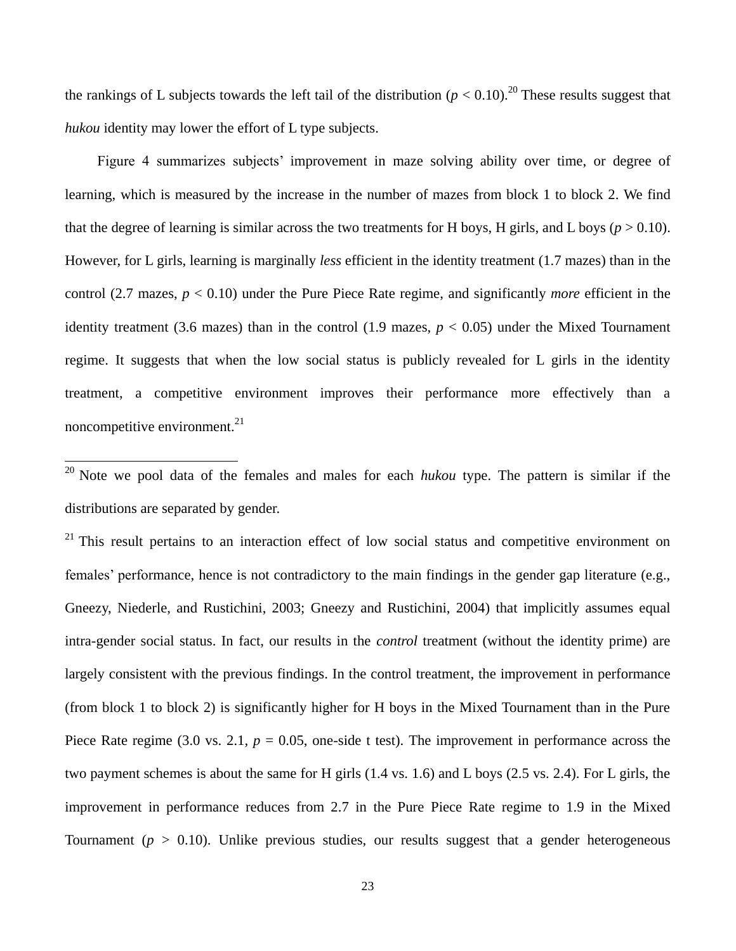the rankings of L subjects towards the left tail of the distribution  $(p < 0.10)$ .<sup>20</sup> These results suggest that *hukou* identity may lower the effort of L type subjects.

Figure 4 summarizes subjects' improvement in maze solving ability over time, or degree of learning, which is measured by the increase in the number of mazes from block 1 to block 2. We find that the degree of learning is similar across the two treatments for H boys, H girls, and L boys ( $p > 0.10$ ). However, for L girls, learning is marginally *less* efficient in the identity treatment (1.7 mazes) than in the control (2.7 mazes, *p* < 0.10) under the Pure Piece Rate regime, and significantly *more* efficient in the identity treatment (3.6 mazes) than in the control (1.9 mazes,  $p < 0.05$ ) under the Mixed Tournament regime. It suggests that when the low social status is publicly revealed for L girls in the identity treatment, a competitive environment improves their performance more effectively than a noncompetitive environment.<sup>21</sup>

<sup>20</sup> Note we pool data of the females and males for each *hukou* type. The pattern is similar if the distributions are separated by gender.

 $\overline{a}$ 

 $21$  This result pertains to an interaction effect of low social status and competitive environment on females' performance, hence is not contradictory to the main findings in the gender gap literature (e.g., Gneezy, Niederle, and Rustichini, 2003; Gneezy and Rustichini, 2004) that implicitly assumes equal intra-gender social status. In fact, our results in the *control* treatment (without the identity prime) are largely consistent with the previous findings. In the control treatment, the improvement in performance (from block 1 to block 2) is significantly higher for H boys in the Mixed Tournament than in the Pure Piece Rate regime (3.0 vs. 2.1,  $p = 0.05$ , one-side t test). The improvement in performance across the two payment schemes is about the same for H girls (1.4 vs. 1.6) and L boys (2.5 vs. 2.4). For L girls, the improvement in performance reduces from 2.7 in the Pure Piece Rate regime to 1.9 in the Mixed Tournament ( $p > 0.10$ ). Unlike previous studies, our results suggest that a gender heterogeneous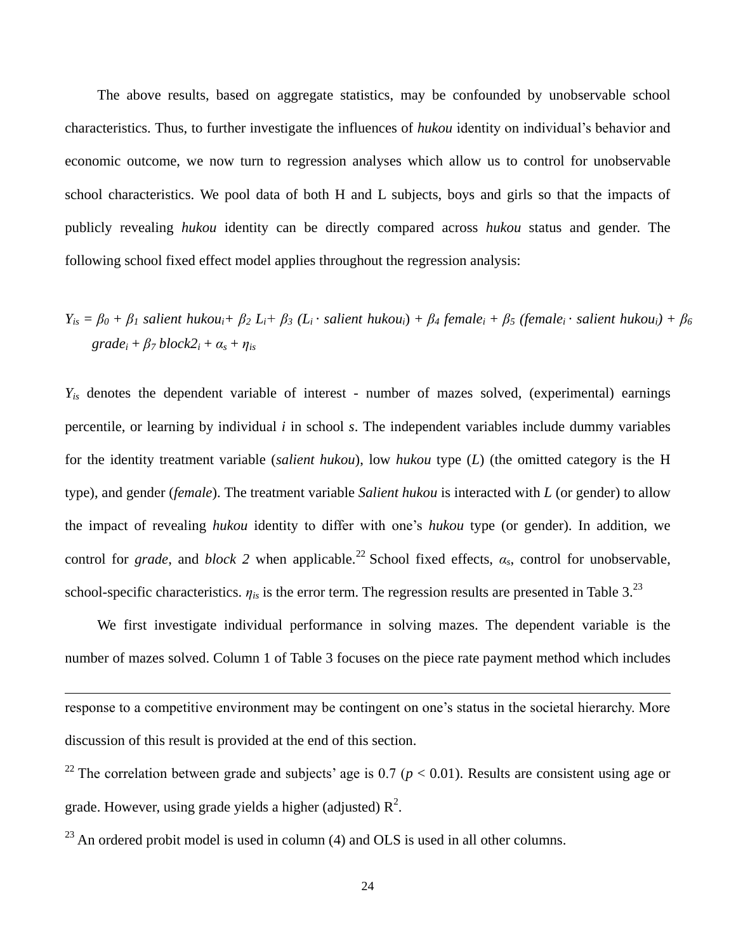The above results, based on aggregate statistics, may be confounded by unobservable school characteristics. Thus, to further investigate the influences of *hukou* identity on individual"s behavior and economic outcome, we now turn to regression analyses which allow us to control for unobservable school characteristics. We pool data of both H and L subjects, boys and girls so that the impacts of publicly revealing *hukou* identity can be directly compared across *hukou* status and gender. The following school fixed effect model applies throughout the regression analysis:

 $Y_{is} = \beta_0 + \beta_1$  salient hukou<sub>i</sub>+  $\beta_2 L_i + \beta_3 (L_i \cdot$  salient hukou<sub>i</sub>) +  $\beta_4$  female<sub>i</sub> +  $\beta_5$  (female<sub>i</sub> · salient hukou<sub>i</sub>) +  $\beta_6$  $grade_i + \beta_7 block2_i + \alpha_s + \eta_{is}$ 

*Yis* denotes the dependent variable of interest - number of mazes solved, (experimental) earnings percentile, or learning by individual *i* in school *s*. The independent variables include dummy variables for the identity treatment variable (*salient hukou*), low *hukou* type (*L*) (the omitted category is the H type), and gender (*female*). The treatment variable *Salient hukou* is interacted with *L* (or gender) to allow the impact of revealing *hukou* identity to differ with one"s *hukou* type (or gender). In addition, we control for *grade*, and *block* 2 when applicable.<sup>22</sup> School fixed effects,  $\alpha_s$ , control for unobservable, school-specific characteristics.  $\eta_{is}$  is the error term. The regression results are presented in Table 3.<sup>23</sup>

We first investigate individual performance in solving mazes. The dependent variable is the number of mazes solved. Column 1 of Table 3 focuses on the piece rate payment method which includes

response to a competitive environment may be contingent on one"s status in the societal hierarchy. More discussion of this result is provided at the end of this section.

<sup>22</sup> The correlation between grade and subjects' age is 0.7 ( $p < 0.01$ ). Results are consistent using age or grade. However, using grade yields a higher (adjusted)  $R^2$ .

 $23$  An ordered probit model is used in column (4) and OLS is used in all other columns.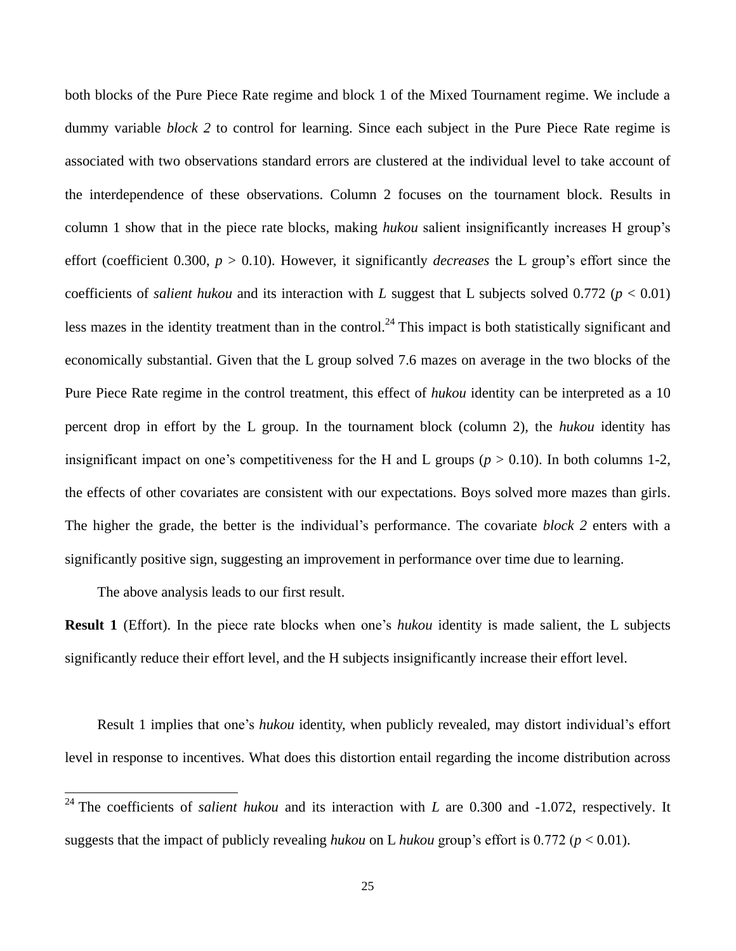both blocks of the Pure Piece Rate regime and block 1 of the Mixed Tournament regime. We include a dummy variable *block 2* to control for learning. Since each subject in the Pure Piece Rate regime is associated with two observations standard errors are clustered at the individual level to take account of the interdependence of these observations. Column 2 focuses on the tournament block. Results in column 1 show that in the piece rate blocks, making *hukou* salient insignificantly increases H group"s effort (coefficient 0.300,  $p > 0.10$ ). However, it significantly *decreases* the L group's effort since the coefficients of *salient hukou* and its interaction with *L* suggest that L subjects solved 0.772 ( $p < 0.01$ ) less mazes in the identity treatment than in the control.<sup>24</sup> This impact is both statistically significant and economically substantial. Given that the L group solved 7.6 mazes on average in the two blocks of the Pure Piece Rate regime in the control treatment, this effect of *hukou* identity can be interpreted as a 10 percent drop in effort by the L group. In the tournament block (column 2), the *hukou* identity has insignificant impact on one's competitiveness for the H and L groups ( $p > 0.10$ ). In both columns 1-2, the effects of other covariates are consistent with our expectations. Boys solved more mazes than girls. The higher the grade, the better is the individual"s performance. The covariate *block 2* enters with a significantly positive sign, suggesting an improvement in performance over time due to learning.

The above analysis leads to our first result.

 $\overline{a}$ 

**Result 1** (Effort). In the piece rate blocks when one's *hukou* identity is made salient, the L subjects significantly reduce their effort level, and the H subjects insignificantly increase their effort level.

Result 1 implies that one's *hukou* identity, when publicly revealed, may distort individual's effort level in response to incentives. What does this distortion entail regarding the income distribution across

<sup>&</sup>lt;sup>24</sup> The coefficients of *salient hukou* and its interaction with *L* are 0.300 and -1.072, respectively. It suggests that the impact of publicly revealing *hukou* on L *hukou* group's effort is 0.772 ( $p < 0.01$ ).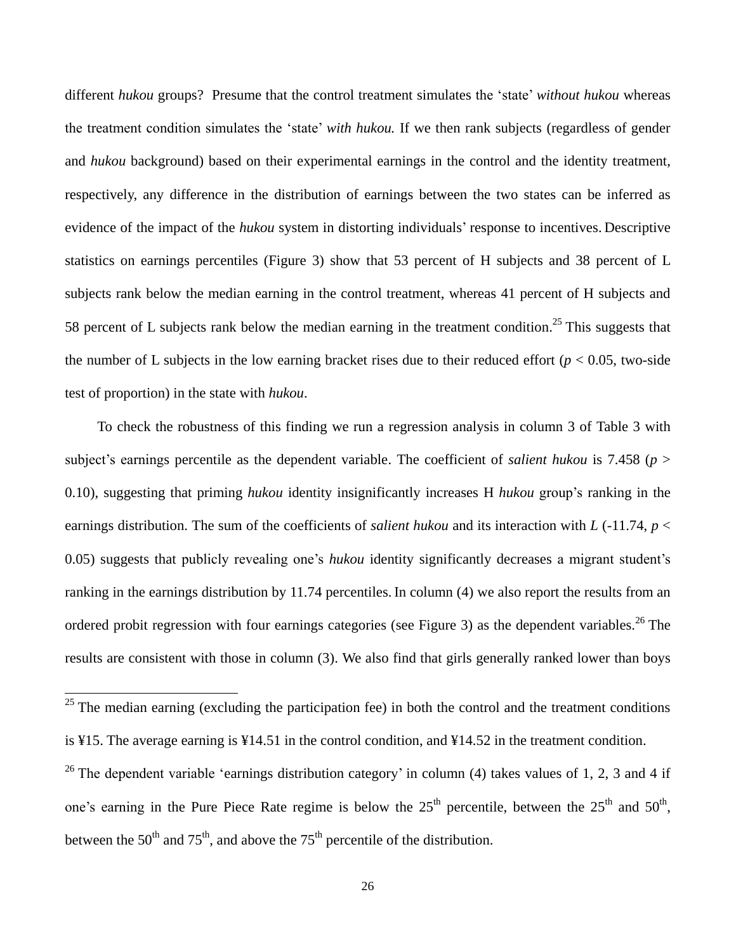different *hukou* groups? Presume that the control treatment simulates the "state" *without hukou* whereas the treatment condition simulates the "state" *with hukou.* If we then rank subjects (regardless of gender and *hukou* background) based on their experimental earnings in the control and the identity treatment, respectively, any difference in the distribution of earnings between the two states can be inferred as evidence of the impact of the *hukou* system in distorting individuals" response to incentives. Descriptive statistics on earnings percentiles (Figure 3) show that 53 percent of H subjects and 38 percent of L subjects rank below the median earning in the control treatment, whereas 41 percent of H subjects and 58 percent of L subjects rank below the median earning in the treatment condition.<sup>25</sup> This suggests that the number of L subjects in the low earning bracket rises due to their reduced effort ( $p < 0.05$ , two-side test of proportion) in the state with *hukou*.

To check the robustness of this finding we run a regression analysis in column 3 of Table 3 with subject's earnings percentile as the dependent variable. The coefficient of *salient hukou* is 7.458 ( $p >$ 0.10), suggesting that priming *hukou* identity insignificantly increases H *hukou* group"s ranking in the earnings distribution. The sum of the coefficients of *salient hukou* and its interaction with *L* (-11.74, *p* < 0.05) suggests that publicly revealing one"s *hukou* identity significantly decreases a migrant student"s ranking in the earnings distribution by 11.74 percentiles. In column (4) we also report the results from an ordered probit regression with four earnings categories (see Figure 3) as the dependent variables.<sup>26</sup> The results are consistent with those in column (3). We also find that girls generally ranked lower than boys

 $25$  The median earning (excluding the participation fee) in both the control and the treatment conditions is ¥15. The average earning is ¥14.51 in the control condition, and ¥14.52 in the treatment condition.

<sup>&</sup>lt;sup>26</sup> The dependent variable 'earnings distribution category' in column (4) takes values of 1, 2, 3 and 4 if one's earning in the Pure Piece Rate regime is below the  $25<sup>th</sup>$  percentile, between the  $25<sup>th</sup>$  and  $50<sup>th</sup>$ , between the  $50<sup>th</sup>$  and  $75<sup>th</sup>$ , and above the  $75<sup>th</sup>$  percentile of the distribution.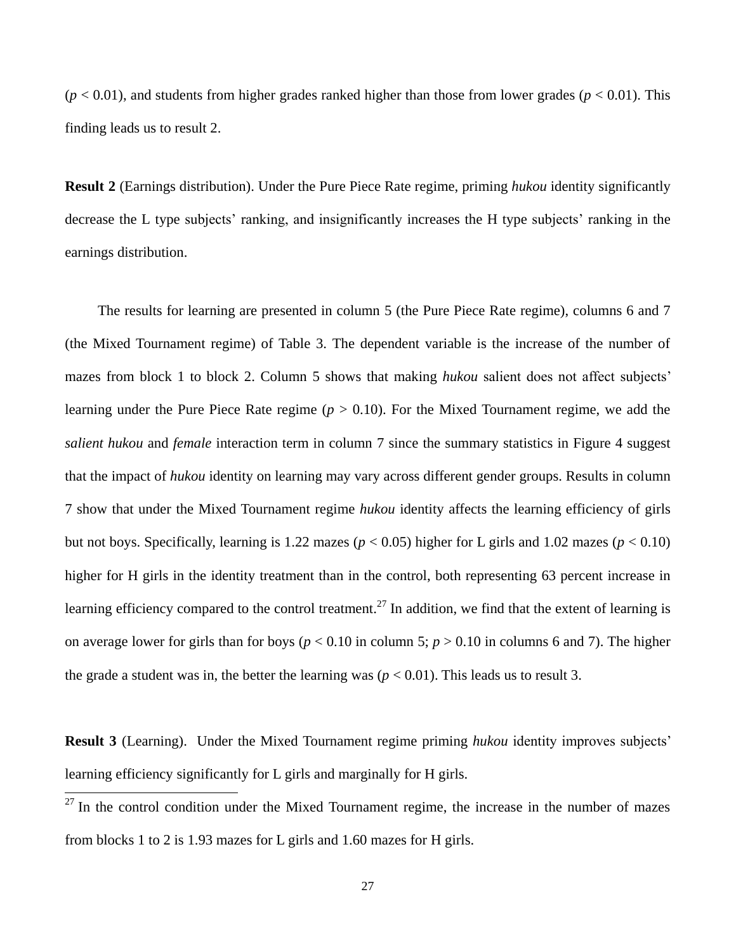$(p < 0.01)$ , and students from higher grades ranked higher than those from lower grades  $(p < 0.01)$ . This finding leads us to result 2.

**Result 2** (Earnings distribution). Under the Pure Piece Rate regime, priming *hukou* identity significantly decrease the L type subjects' ranking, and insignificantly increases the H type subjects' ranking in the earnings distribution.

The results for learning are presented in column 5 (the Pure Piece Rate regime), columns 6 and 7 (the Mixed Tournament regime) of Table 3. The dependent variable is the increase of the number of mazes from block 1 to block 2. Column 5 shows that making *hukou* salient does not affect subjects' learning under the Pure Piece Rate regime (*p* > 0.10). For the Mixed Tournament regime, we add the *salient hukou* and *female* interaction term in column 7 since the summary statistics in Figure 4 suggest that the impact of *hukou* identity on learning may vary across different gender groups. Results in column 7 show that under the Mixed Tournament regime *hukou* identity affects the learning efficiency of girls but not boys. Specifically, learning is 1.22 mazes (*p* < 0.05) higher for L girls and 1.02 mazes (*p* < 0.10) higher for H girls in the identity treatment than in the control, both representing 63 percent increase in learning efficiency compared to the control treatment.<sup>27</sup> In addition, we find that the extent of learning is on average lower for girls than for boys ( $p < 0.10$  in column 5;  $p > 0.10$  in columns 6 and 7). The higher the grade a student was in, the better the learning was  $(p < 0.01)$ . This leads us to result 3.

**Result 3** (Learning). Under the Mixed Tournament regime priming *hukou* identity improves subjects' learning efficiency significantly for L girls and marginally for H girls.

 $27$  In the control condition under the Mixed Tournament regime, the increase in the number of mazes from blocks 1 to 2 is 1.93 mazes for L girls and 1.60 mazes for H girls.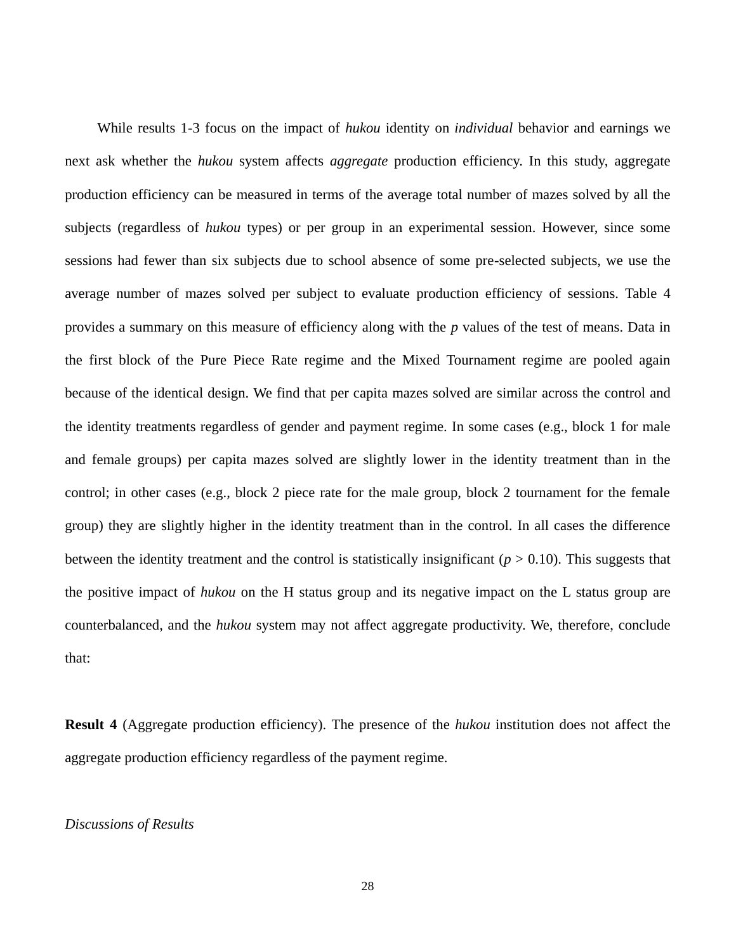While results 1-3 focus on the impact of *hukou* identity on *individual* behavior and earnings we next ask whether the *hukou* system affects *aggregate* production efficiency. In this study, aggregate production efficiency can be measured in terms of the average total number of mazes solved by all the subjects (regardless of *hukou* types) or per group in an experimental session. However, since some sessions had fewer than six subjects due to school absence of some pre-selected subjects, we use the average number of mazes solved per subject to evaluate production efficiency of sessions. Table 4 provides a summary on this measure of efficiency along with the *p* values of the test of means. Data in the first block of the Pure Piece Rate regime and the Mixed Tournament regime are pooled again because of the identical design. We find that per capita mazes solved are similar across the control and the identity treatments regardless of gender and payment regime. In some cases (e.g., block 1 for male and female groups) per capita mazes solved are slightly lower in the identity treatment than in the control; in other cases (e.g., block 2 piece rate for the male group, block 2 tournament for the female group) they are slightly higher in the identity treatment than in the control. In all cases the difference between the identity treatment and the control is statistically insignificant  $(p > 0.10)$ . This suggests that the positive impact of *hukou* on the H status group and its negative impact on the L status group are counterbalanced, and the *hukou* system may not affect aggregate productivity. We, therefore, conclude that:

**Result 4** (Aggregate production efficiency). The presence of the *hukou* institution does not affect the aggregate production efficiency regardless of the payment regime.

#### *Discussions of Results*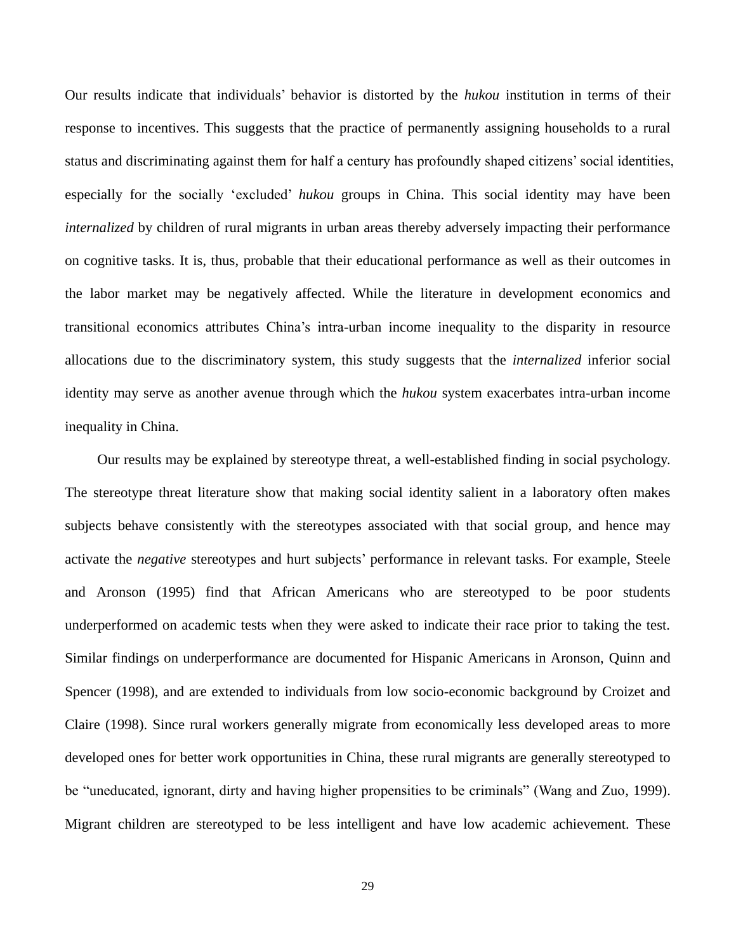Our results indicate that individuals" behavior is distorted by the *hukou* institution in terms of their response to incentives. This suggests that the practice of permanently assigning households to a rural status and discriminating against them for half a century has profoundly shaped citizens" social identities, especially for the socially "excluded" *hukou* groups in China. This social identity may have been *internalized* by children of rural migrants in urban areas thereby adversely impacting their performance on cognitive tasks. It is, thus, probable that their educational performance as well as their outcomes in the labor market may be negatively affected. While the literature in development economics and transitional economics attributes China"s intra-urban income inequality to the disparity in resource allocations due to the discriminatory system, this study suggests that the *internalized* inferior social identity may serve as another avenue through which the *hukou* system exacerbates intra-urban income inequality in China.

Our results may be explained by stereotype threat, a well-established finding in social psychology. The stereotype threat literature show that making social identity salient in a laboratory often makes subjects behave consistently with the stereotypes associated with that social group, and hence may activate the *negative* stereotypes and hurt subjects' performance in relevant tasks. For example, Steele and Aronson (1995) find that African Americans who are stereotyped to be poor students underperformed on academic tests when they were asked to indicate their race prior to taking the test. Similar findings on underperformance are documented for Hispanic Americans in Aronson, Quinn and Spencer (1998), and are extended to individuals from low socio-economic background by Croizet and Claire (1998). Since rural workers generally migrate from economically less developed areas to more developed ones for better work opportunities in China, these rural migrants are generally stereotyped to be "uneducated, ignorant, dirty and having higher propensities to be criminals" (Wang and Zuo, 1999). Migrant children are stereotyped to be less intelligent and have low academic achievement. These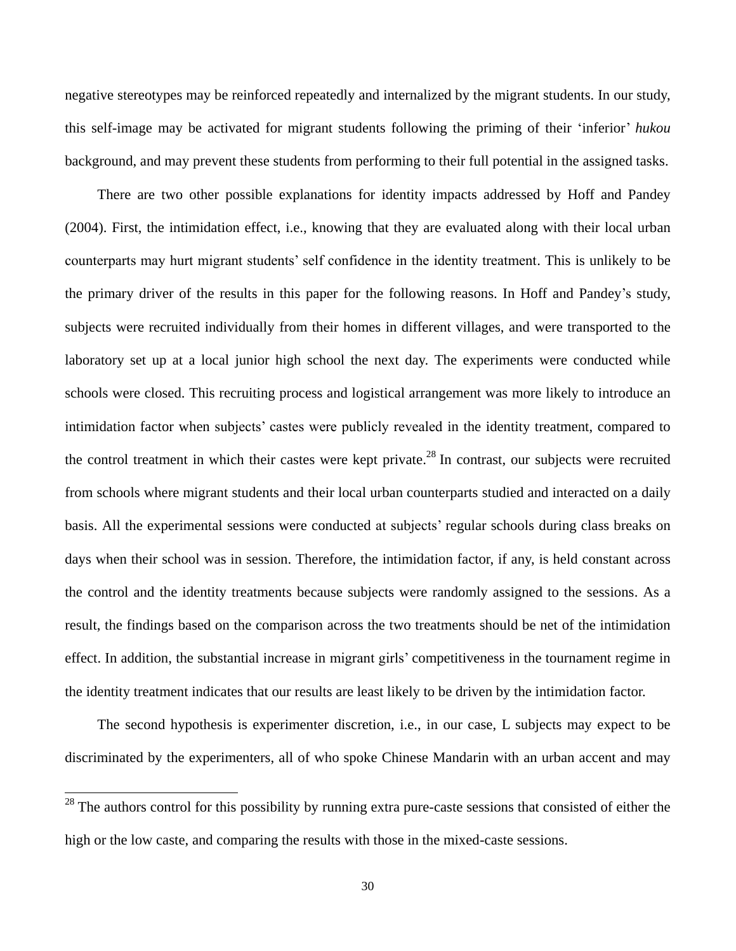negative stereotypes may be reinforced repeatedly and internalized by the migrant students. In our study, this self-image may be activated for migrant students following the priming of their "inferior" *hukou* background, and may prevent these students from performing to their full potential in the assigned tasks.

There are two other possible explanations for identity impacts addressed by Hoff and Pandey (2004). First, the intimidation effect, i.e., knowing that they are evaluated along with their local urban counterparts may hurt migrant students" self confidence in the identity treatment. This is unlikely to be the primary driver of the results in this paper for the following reasons. In Hoff and Pandey"s study, subjects were recruited individually from their homes in different villages, and were transported to the laboratory set up at a local junior high school the next day. The experiments were conducted while schools were closed. This recruiting process and logistical arrangement was more likely to introduce an intimidation factor when subjects" castes were publicly revealed in the identity treatment, compared to the control treatment in which their castes were kept private.<sup>28</sup> In contrast, our subjects were recruited from schools where migrant students and their local urban counterparts studied and interacted on a daily basis. All the experimental sessions were conducted at subjects" regular schools during class breaks on days when their school was in session. Therefore, the intimidation factor, if any, is held constant across the control and the identity treatments because subjects were randomly assigned to the sessions. As a result, the findings based on the comparison across the two treatments should be net of the intimidation effect. In addition, the substantial increase in migrant girls" competitiveness in the tournament regime in the identity treatment indicates that our results are least likely to be driven by the intimidation factor.

The second hypothesis is experimenter discretion, i.e., in our case, L subjects may expect to be discriminated by the experimenters, all of who spoke Chinese Mandarin with an urban accent and may

 $28$  The authors control for this possibility by running extra pure-caste sessions that consisted of either the high or the low caste, and comparing the results with those in the mixed-caste sessions.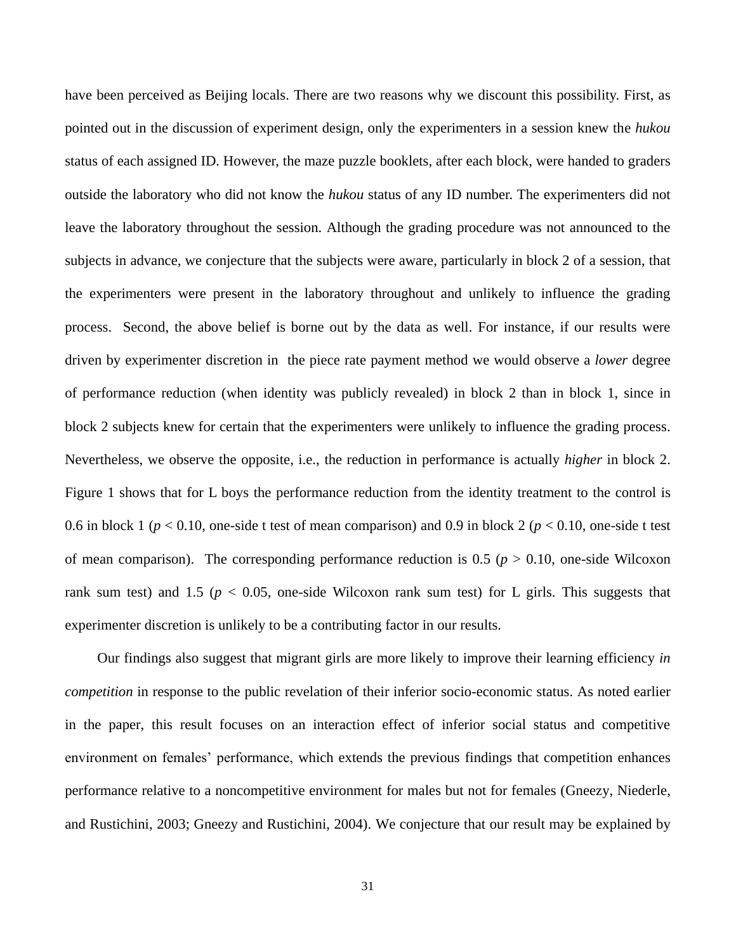have been perceived as Beijing locals. There are two reasons why we discount this possibility. First, as pointed out in the discussion of experiment design, only the experimenters in a session knew the *hukou* status of each assigned ID. However, the maze puzzle booklets, after each block, were handed to graders outside the laboratory who did not know the *hukou* status of any ID number. The experimenters did not leave the laboratory throughout the session. Although the grading procedure was not announced to the subjects in advance, we conjecture that the subjects were aware, particularly in block 2 of a session, that the experimenters were present in the laboratory throughout and unlikely to influence the grading process. Second, the above belief is borne out by the data as well. For instance, if our results were driven by experimenter discretion in the piece rate payment method we would observe a *lower* degree of performance reduction (when identity was publicly revealed) in block 2 than in block 1, since in block 2 subjects knew for certain that the experimenters were unlikely to influence the grading process. Nevertheless, we observe the opposite, i.e., the reduction in performance is actually *higher* in block 2. Figure 1 shows that for L boys the performance reduction from the identity treatment to the control is 0.6 in block 1 (*p* < 0.10, one-side t test of mean comparison) and 0.9 in block 2 (*p* < 0.10, one-side t test of mean comparison). The corresponding performance reduction is  $0.5$  ( $p > 0.10$ , one-side Wilcoxon rank sum test) and 1.5 ( $p < 0.05$ , one-side Wilcoxon rank sum test) for L girls. This suggests that experimenter discretion is unlikely to be a contributing factor in our results.

Our findings also suggest that migrant girls are more likely to improve their learning efficiency *in competition* in response to the public revelation of their inferior socio-economic status. As noted earlier in the paper, this result focuses on an interaction effect of inferior social status and competitive environment on females" performance, which extends the previous findings that competition enhances performance relative to a noncompetitive environment for males but not for females (Gneezy, Niederle, and Rustichini, 2003; Gneezy and Rustichini, 2004). We conjecture that our result may be explained by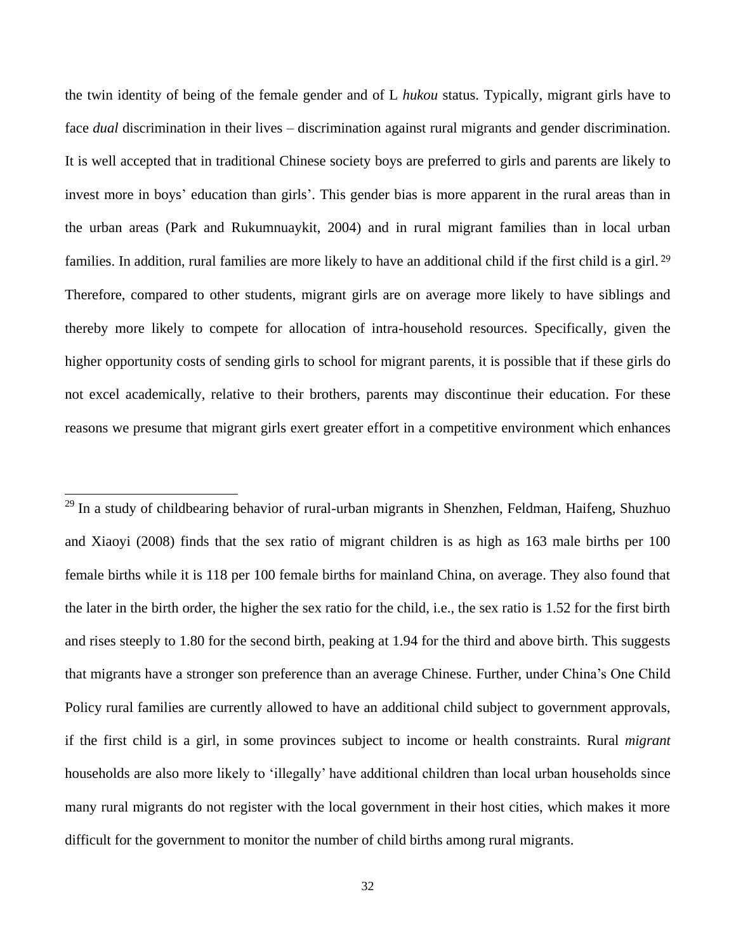the twin identity of being of the female gender and of L *hukou* status. Typically, migrant girls have to face *dual* discrimination in their lives – discrimination against rural migrants and gender discrimination. It is well accepted that in traditional Chinese society boys are preferred to girls and parents are likely to invest more in boys' education than girls'. This gender bias is more apparent in the rural areas than in the urban areas (Park and Rukumnuaykit, 2004) and in rural migrant families than in local urban families. In addition, rural families are more likely to have an additional child if the first child is a girl.<sup>29</sup> Therefore, compared to other students, migrant girls are on average more likely to have siblings and thereby more likely to compete for allocation of intra-household resources. Specifically, given the higher opportunity costs of sending girls to school for migrant parents, it is possible that if these girls do not excel academically, relative to their brothers, parents may discontinue their education. For these reasons we presume that migrant girls exert greater effort in a competitive environment which enhances

<sup>29</sup> In a study of childbearing behavior of rural-urban migrants in Shenzhen, Feldman, Haifeng, Shuzhuo and Xiaoyi (2008) finds that the sex ratio of migrant children is as high as 163 male births per 100 female births while it is 118 per 100 female births for mainland China, on average. They also found that the later in the birth order, the higher the sex ratio for the child, i.e., the sex ratio is 1.52 for the first birth and rises steeply to 1.80 for the second birth, peaking at 1.94 for the third and above birth. This suggests that migrants have a stronger son preference than an average Chinese. Further, under China"s One Child Policy rural families are currently allowed to have an additional child subject to government approvals, if the first child is a girl, in some provinces subject to income or health constraints. Rural *migrant* households are also more likely to "illegally" have additional children than local urban households since many rural migrants do not register with the local government in their host cities, which makes it more difficult for the government to monitor the number of child births among rural migrants.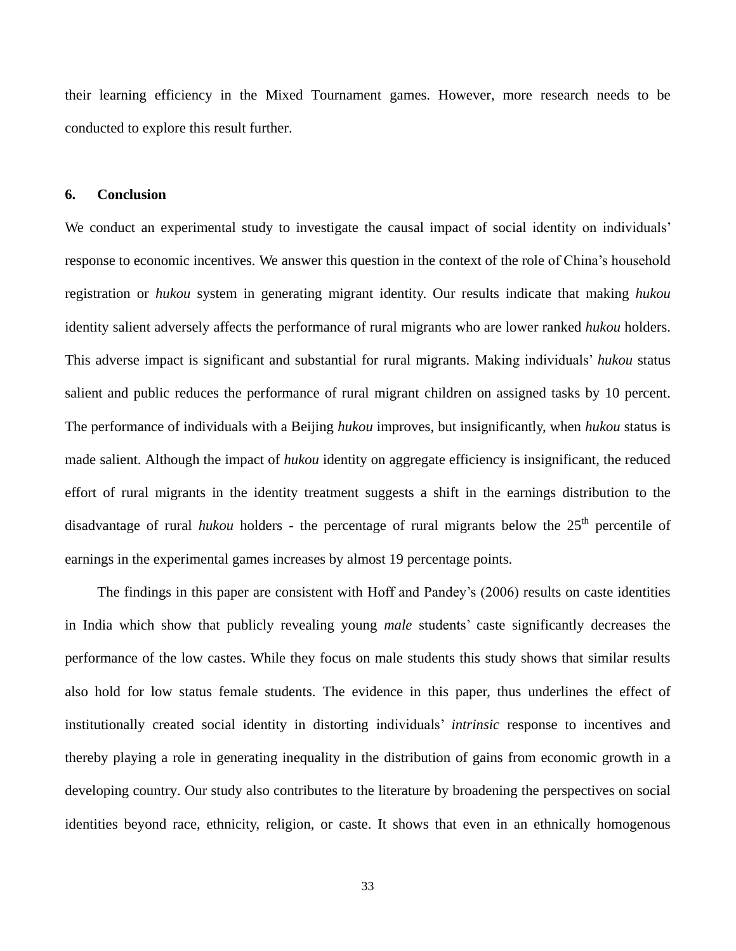their learning efficiency in the Mixed Tournament games. However, more research needs to be conducted to explore this result further.

#### **6. Conclusion**

We conduct an experimental study to investigate the causal impact of social identity on individuals' response to economic incentives. We answer this question in the context of the role of China"s household registration or *hukou* system in generating migrant identity. Our results indicate that making *hukou* identity salient adversely affects the performance of rural migrants who are lower ranked *hukou* holders. This adverse impact is significant and substantial for rural migrants. Making individuals" *hukou* status salient and public reduces the performance of rural migrant children on assigned tasks by 10 percent. The performance of individuals with a Beijing *hukou* improves, but insignificantly, when *hukou* status is made salient. Although the impact of *hukou* identity on aggregate efficiency is insignificant, the reduced effort of rural migrants in the identity treatment suggests a shift in the earnings distribution to the disadvantage of rural *hukou* holders - the percentage of rural migrants below the 25<sup>th</sup> percentile of earnings in the experimental games increases by almost 19 percentage points.

The findings in this paper are consistent with Hoff and Pandey"s (2006) results on caste identities in India which show that publicly revealing young *male* students" caste significantly decreases the performance of the low castes. While they focus on male students this study shows that similar results also hold for low status female students. The evidence in this paper, thus underlines the effect of institutionally created social identity in distorting individuals" *intrinsic* response to incentives and thereby playing a role in generating inequality in the distribution of gains from economic growth in a developing country. Our study also contributes to the literature by broadening the perspectives on social identities beyond race, ethnicity, religion, or caste. It shows that even in an ethnically homogenous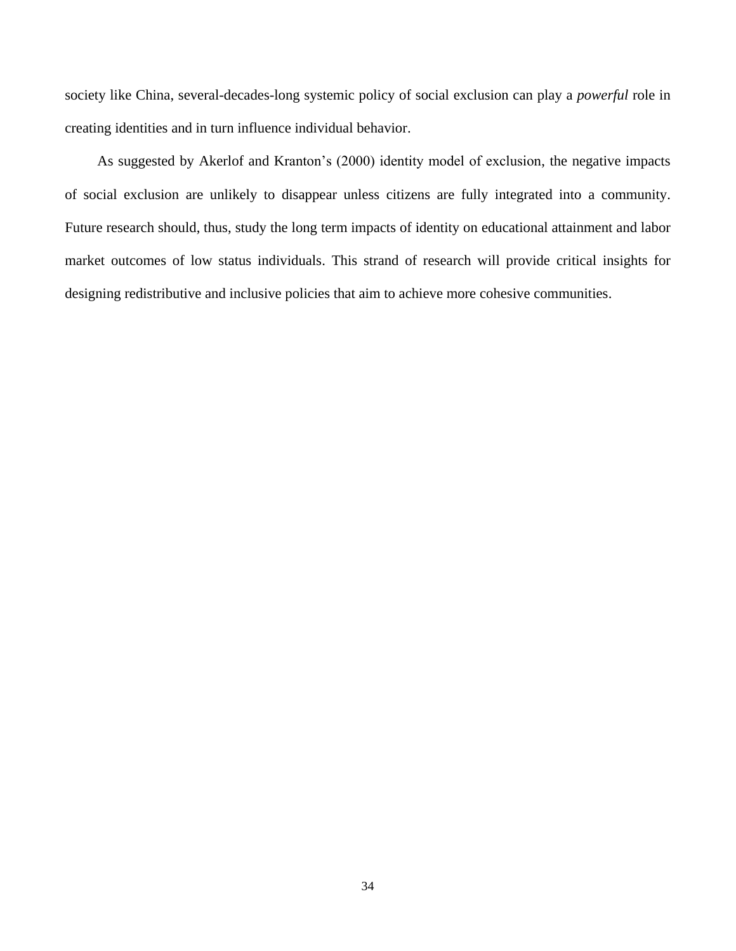society like China, several-decades-long systemic policy of social exclusion can play a *powerful* role in creating identities and in turn influence individual behavior.

As suggested by Akerlof and Kranton"s (2000) identity model of exclusion, the negative impacts of social exclusion are unlikely to disappear unless citizens are fully integrated into a community. Future research should, thus, study the long term impacts of identity on educational attainment and labor market outcomes of low status individuals. This strand of research will provide critical insights for designing redistributive and inclusive policies that aim to achieve more cohesive communities.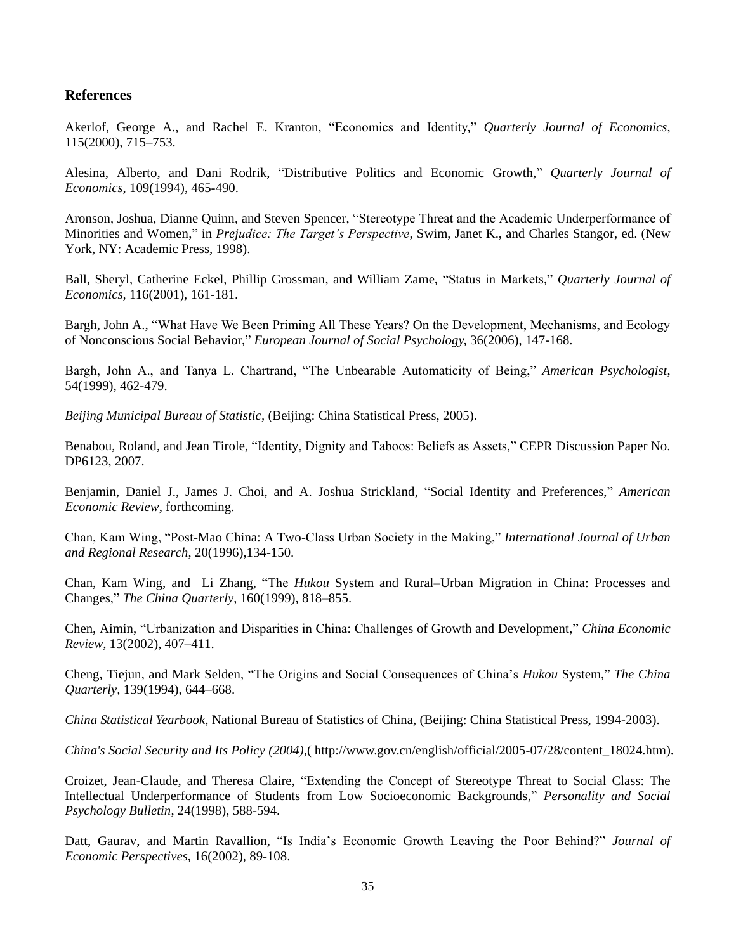### **References**

Akerlof, George A., and Rachel E. Kranton, "Economics and Identity," *Quarterly Journal of Economics*, 115(2000), 715–753.

Alesina, Alberto, and Dani Rodrik, ["Distributive Politics and Economic Growth,](http://ideas.repec.org/a/tpr/qjecon/v109y1994i2p465-90.html)" *[Quarterly Journal of](http://ideas.repec.org/s/tpr/qjecon.html)  [Economics](http://ideas.repec.org/s/tpr/qjecon.html)*, 109(1994), 465-490.

Aronson, Joshua, Dianne Quinn, and Steven Spencer, "Stereotype Threat and the Academic Underperformance of Minorities and Women," in *Prejudice: The Target's Perspective*, Swim, Janet K., and Charles Stangor, ed. (New York, NY: Academic Press, 1998).

Ball, Sheryl, Catherine Eckel, Phillip Grossman, and William Zame, "Status in Markets," *Quarterly Journal of Economics,* 116(2001), 161-181.

Bargh, John A., "What Have We Been Priming All These Years? On the Development, Mechanisms, and Ecology of Nonconscious Social Behavior," *European Journal of Social Psychology,* 36(2006), 147-168.

Bargh, John A., and Tanya L. Chartrand, "The Unbearable Automaticity of Being," *American Psychologist*, 54(1999), 462-479.

*Beijing Municipal Bureau of Statistic,* (Beijing: China Statistical Press, 2005).

Benabou, Roland, and Jean Tirole, "Identity, Dignity and Taboos: Beliefs as Assets," CEPR Discussion Paper No. DP6123, 2007.

Benjamin, Daniel J., James J. Choi, and A. Joshua Strickland, "Social Identity and Preferences," *American Economic Review*, forthcoming.

Chan, Kam Wing, "Post-Mao China: A Two-Class Urban Society in the Making," *International Journal of Urban and Regional Research*, 20(1996),134-150.

Chan, Kam Wing, and Li Zhang, "The *Hukou* System and Rural–Urban Migration in China: Processes and Changes," *The China Quarterly*, 160(1999), 818–855.

Chen, Aimin, "Urbanization and Disparities in China: Challenges of Growth and Development," *China Economic Review,* 13(2002), 407–411.

Cheng, Tiejun, and Mark Selden, "The Origins and Social Consequences of China"s *Hukou* System," *The China Quarterly,* 139(1994), 644–668.

*China Statistical Yearbook*, National Bureau of Statistics of China, (Beijing: China Statistical Press, 1994-2003).

*China's Social Security and Its Policy (2004),*( http://www.gov.cn/english/official/2005-07/28/content\_18024.htm).

Croizet, Jean-Claude, and Theresa Claire, "Extending the Concept of Stereotype Threat to Social Class: The Intellectual Underperformance of Students from Low Socioeconomic Backgrounds," *Personality and Social Psychology Bulletin*, 24(1998), 588-594.

Datt, Gaurav, and Martin Ravallion, "Is India"s Economic Growth Leaving the Poor Behind?" *Journal of Economic Perspectives*, 16(2002), 89-108.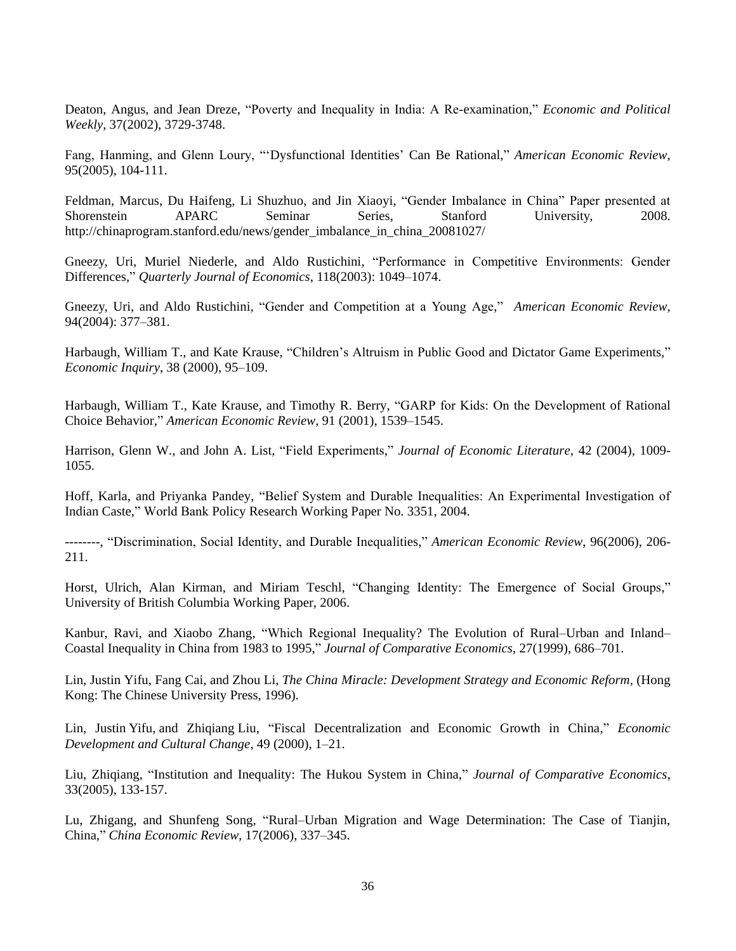Deaton, Angus, and Jean Dreze, "Poverty and Inequality in India: A Re-examination," *Economic and Political Weekly*, 37(2002), 3729-3748.

Fang, Hanming, and Glenn Loury, ""Dysfunctional Identities" Can Be Rational," *American Economic Review,*  95(2005), 104-111.

Feldman, Marcus, Du Haifeng, Li Shuzhuo, and Jin Xiaoyi, "Gender Imbalance in China" Paper presented at Shorenstein APARC Seminar Series, Stanford University, 2008. http://chinaprogram.stanford.edu/news/gender\_imbalance\_in\_china\_20081027/

Gneezy, Uri, Muriel Niederle, and Aldo Rustichini, "Performance in Competitive Environments: Gender Differences," *Quarterly Journal of Economics*, 118(2003): 1049–1074.

Gneezy, Uri, and Aldo Rustichini, "Gender and Competition at a Young Age," *American Economic Review*, 94(2004): 377–381.

Harbaugh, William T., and Kate Krause, "Children"s Altruism in Public Good and Dictator Game Experiments," *Economic Inquiry*, 38 (2000), 95–109.

Harbaugh, William T., Kate Krause, and Timothy R. Berry, "GARP for Kids: On the Development of Rational Choice Behavior," *American Economic Review*, 91 (2001), 1539–1545.

Harrison, Glenn W., and John A. List, "Field Experiments," *Journal of Economic Literature,* 42 (2004), 1009- 1055.

Hoff, Karla, and Priyanka Pandey, "Belief System and Durable Inequalities: An Experimental Investigation of Indian Caste," World Bank Policy Research Working Paper No. 3351, 2004.

--------, "Discrimination, Social Identity, and Durable Inequalities," *American Economic Review*, 96(2006), 206- 211.

Horst, Ulrich, Alan Kirman, and Miriam Teschl, "Changing Identity: The Emergence of Social Groups," University of British Columbia Working Paper, 2006.

Kanbur, Ravi, and Xiaobo Zhang, "Which Regional Inequality? The Evolution of Rural–Urban and Inland– Coastal Inequality in China from 1983 to 1995," *Journal of Comparative Economics,* 27(1999), 686–701.

Lin, Justin Yifu, Fang Cai, and Zhou Li, *The China Miracle: Development Strategy and Economic Reform,* (Hong Kong: The Chinese University Press, 1996).

Lin, Justin Yifu, and Zhiqiang Liu, "Fiscal Decentralization and Economic Growth in China," *Economic Development and Cultural Change*, 49 (2000), 1–21.

Liu, Zhiqiang, "Institution and Inequality: The Hukou System in China," *Journal of Comparative Economics*, 33(2005), 133-157.

Lu, Zhigang, and Shunfeng Song, "Rural–Urban Migration and Wage Determination: The Case of Tianjin, China," *China Economic Review,* 17(2006), 337–345.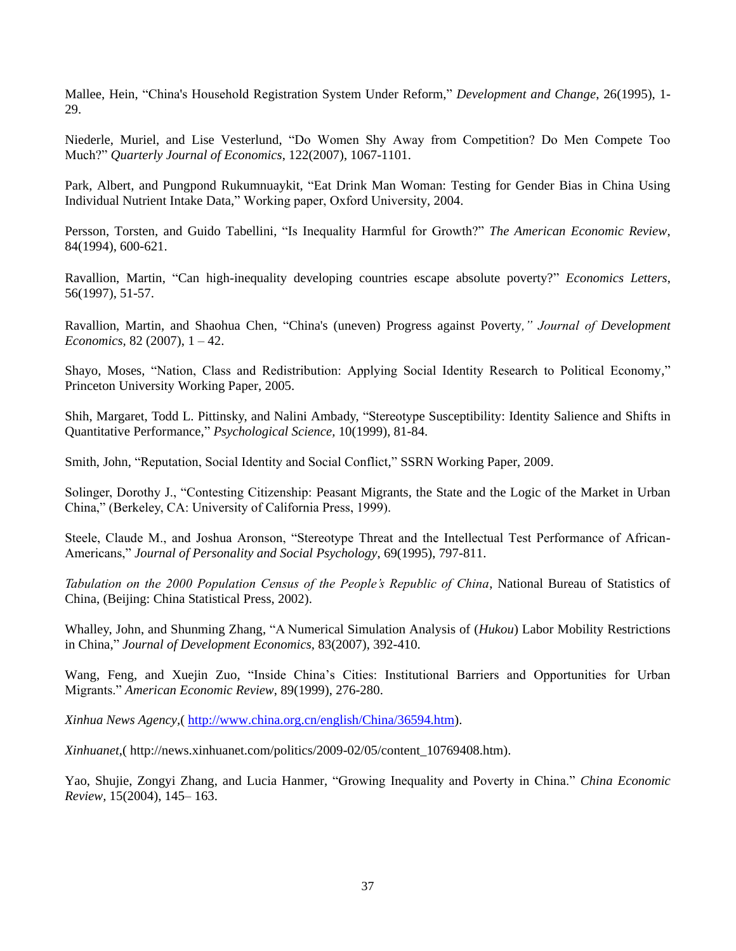Mallee, Hein, "China's Household Registration System Under Reform," *Development and Change*, 26(1995), 1- 29.

Niederle, [Muriel,](http://www.mitpressjournals.org/action/doSearch?action=runSearch&type=advanced&result=true&prevSearch=%2Bauthorsfield%3A(Niederle,%20Muriel)) and [Lise Vesterlund,](http://www.mitpressjournals.org/action/doSearch?action=runSearch&type=advanced&result=true&prevSearch=%2Bauthorsfield%3A(Vesterlund,%20Lise)) "Do Women Shy Away from Competition? Do Men Compete Too Much?" *Quarterly Journal of Economics*, 122(2007), 1067-1101.

Park, Albert, and Pungpond Rukumnuaykit, "Eat Drink Man Woman: Testing for Gender Bias in China Using Individual Nutrient Intake Data," Working paper, Oxford University, 2004.

Persson, Torsten, and Guido Tabellini, "Is Inequality Harmful for Growth?" *[The American Economic Review](http://www.jstor.org/action/showPublication?journalCode=amereconrevi)*, 84(1994), 600-621.

Ravallion, Martin, ["Can high-inequality developing countries escape absolute poverty?"](http://ideas.repec.org/a/eee/ecolet/v56y1997i1p51-57.html) *[Economics Letters](http://ideas.repec.org/s/eee/ecolet.html)*, 56(1997), 51-57.

Ravallion, Martin, and Shaohua Chen, "China's (uneven) Progress against Poverty*," Journal of Development Economics,* 82 (2007), 1 – 42.

Shayo, Moses, "Nation, Class and Redistribution: Applying Social Identity Research to Political Economy," Princeton University Working Paper, 2005.

Shih, Margaret, Todd L. Pittinsky, and Nalini Ambady, "Stereotype Susceptibility: Identity Salience and Shifts in Quantitative Performance," *Psychological Science,* 10(1999), 81-84.

Smith, John, "Reputation, Social Identity and Social Conflict," SSRN Working Paper, 2009.

Solinger, Dorothy J., "Contesting Citizenship: Peasant Migrants, the State and the Logic of the Market in Urban China," (Berkeley, CA: University of California Press, 1999).

Steele, Claude M., and Joshua Aronson, "Stereotype Threat and the Intellectual Test Performance of African-Americans," *Journal of Personality and Social Psychology*, 69(1995), 797-811.

*Tabulation on the 2000 Population Census of the People's Republic of China*, National Bureau of Statistics of China, (Beijing: China Statistical Press, 2002).

Whalley, John, and Shunming Zhang, "A Numerical Simulation Analysis of (*Hukou*) Labor Mobility Restrictions in China," *Journal of Development Economics,* 83(2007), 392-410.

Wang, Feng, and Xuejin Zuo, "Inside China"s Cities: Institutional Barriers and Opportunities for Urban Migrants." *American Economic Review*, 89(1999), 276-280.

*Xinhua News Agency,*( [http://www.china.org.cn/english/China/36594.htm\)](http://www.china.org.cn/english/China/36594.htm).

*Xinhuanet*,( http://news.xinhuanet.com/politics/2009-02/05/content\_10769408.htm).

Yao, Shujie, Zongyi Zhang, and Lucia Hanmer, "Growing Inequality and Poverty in China." *China Economic Review,* 15(2004), 145– 163.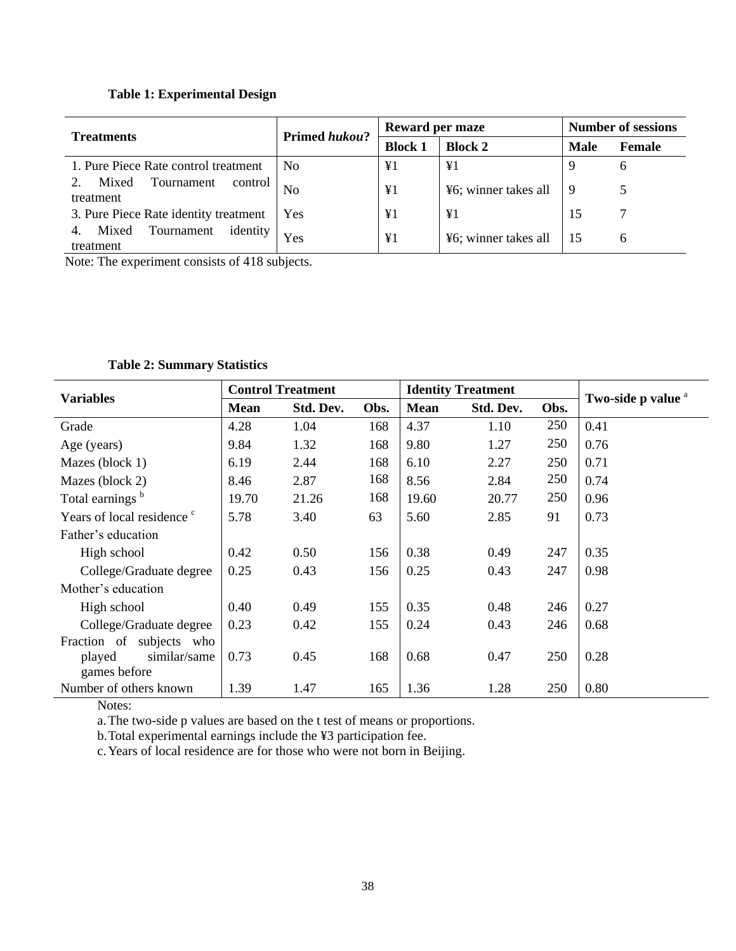### **Table 1: Experimental Design**

| <b>Treatments</b>                            | <b>Primed hukou?</b> | Reward per maze                  |                      | <b>Number of sessions</b> |              |
|----------------------------------------------|----------------------|----------------------------------|----------------------|---------------------------|--------------|
|                                              |                      | <b>Block 1</b><br><b>Block 2</b> |                      | <b>Male</b>               | Female       |
| 1. Pure Piece Rate control treatment         | N <sub>0</sub>       | ¥1                               | ¥1                   | Q                         | O            |
| Tournament<br>control<br>Mixed<br>treatment  | N <sub>0</sub>       | $\Psi$ 1                         | ¥6; winner takes all | 9                         |              |
| 3. Pure Piece Rate identity treatment        | Yes                  | ¥1                               | $\Psi$ 1             | 15                        |              |
| identity<br>Tournament<br>Mixed<br>treatment | Yes                  | $\Psi$ 1                         | ¥6; winner takes all | 15                        | <sub>6</sub> |

Note: The experiment consists of 418 subjects.

| <b>Variables</b>                      | <b>Control Treatment</b> |           |      | <b>Identity Treatment</b> |           |      | Two-side p value <sup>a</sup> |  |
|---------------------------------------|--------------------------|-----------|------|---------------------------|-----------|------|-------------------------------|--|
|                                       | <b>Mean</b>              | Std. Dev. | Obs. | <b>Mean</b>               | Std. Dev. | Obs. |                               |  |
| Grade                                 | 4.28                     | 1.04      | 168  | 4.37                      | 1.10      | 250  | 0.41                          |  |
| Age (years)                           | 9.84                     | 1.32      | 168  | 9.80                      | 1.27      | 250  | 0.76                          |  |
| Mazes (block 1)                       | 6.19                     | 2.44      | 168  | 6.10                      | 2.27      | 250  | 0.71                          |  |
| Mazes (block 2)                       | 8.46                     | 2.87      | 168  | 8.56                      | 2.84      | 250  | 0.74                          |  |
| Total earnings b                      | 19.70                    | 21.26     | 168  | 19.60                     | 20.77     | 250  | 0.96                          |  |
| Years of local residence <sup>c</sup> | 5.78                     | 3.40      | 63   | 5.60                      | 2.85      | 91   | 0.73                          |  |
| Father's education                    |                          |           |      |                           |           |      |                               |  |
| High school                           | 0.42                     | 0.50      | 156  | 0.38                      | 0.49      | 247  | 0.35                          |  |
| College/Graduate degree               | 0.25                     | 0.43      | 156  | 0.25                      | 0.43      | 247  | 0.98                          |  |
| Mother's education                    |                          |           |      |                           |           |      |                               |  |
| High school                           | 0.40                     | 0.49      | 155  | 0.35                      | 0.48      | 246  | 0.27                          |  |
| College/Graduate degree               | 0.23                     | 0.42      | 155  | 0.24                      | 0.43      | 246  | 0.68                          |  |
| Fraction of subjects who              |                          |           |      |                           |           |      |                               |  |
| similar/same<br>played                | 0.73                     | 0.45      | 168  | 0.68                      | 0.47      | 250  | 0.28                          |  |
| games before                          |                          |           |      |                           |           |      |                               |  |
| Number of others known                | 1.39                     | 1.47      | 165  | 1.36                      | 1.28      | 250  | 0.80                          |  |

### **Table 2: Summary Statistics**

Notes:

a.The two-side p values are based on the t test of means or proportions.

b.Total experimental earnings include the ¥3 participation fee.

c.Years of local residence are for those who were not born in Beijing.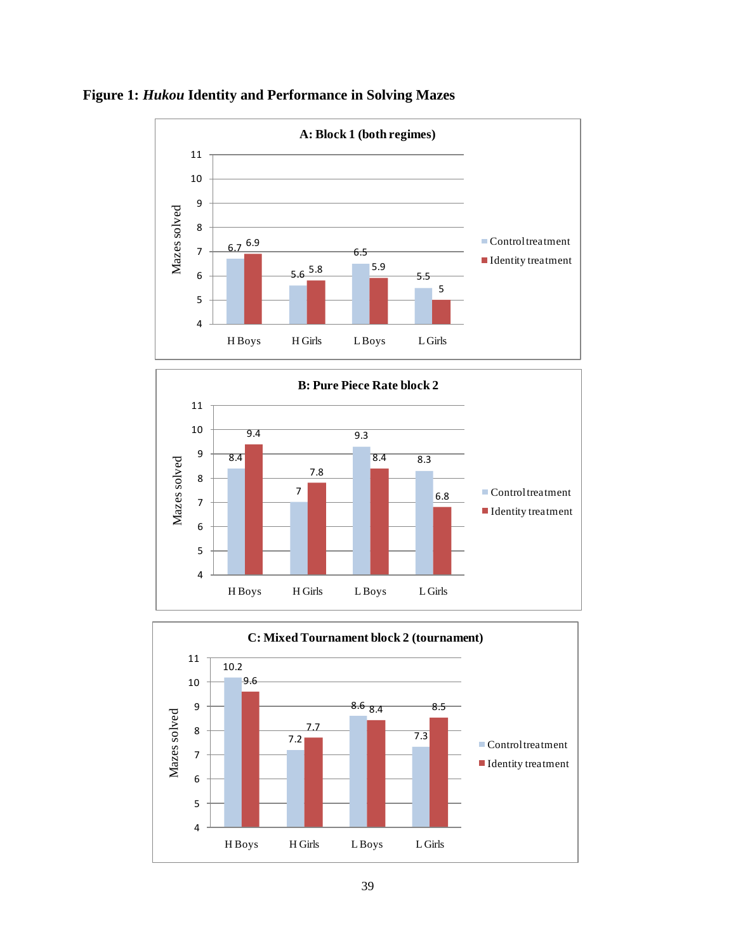





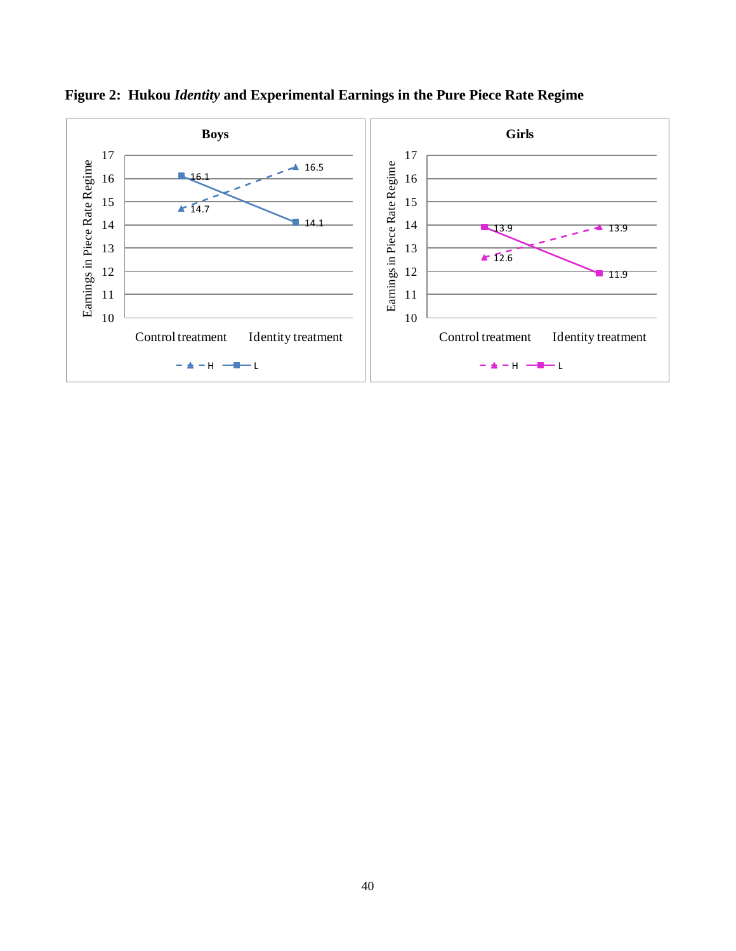

**Figure 2: Hukou** *Identity* **and Experimental Earnings in the Pure Piece Rate Regime**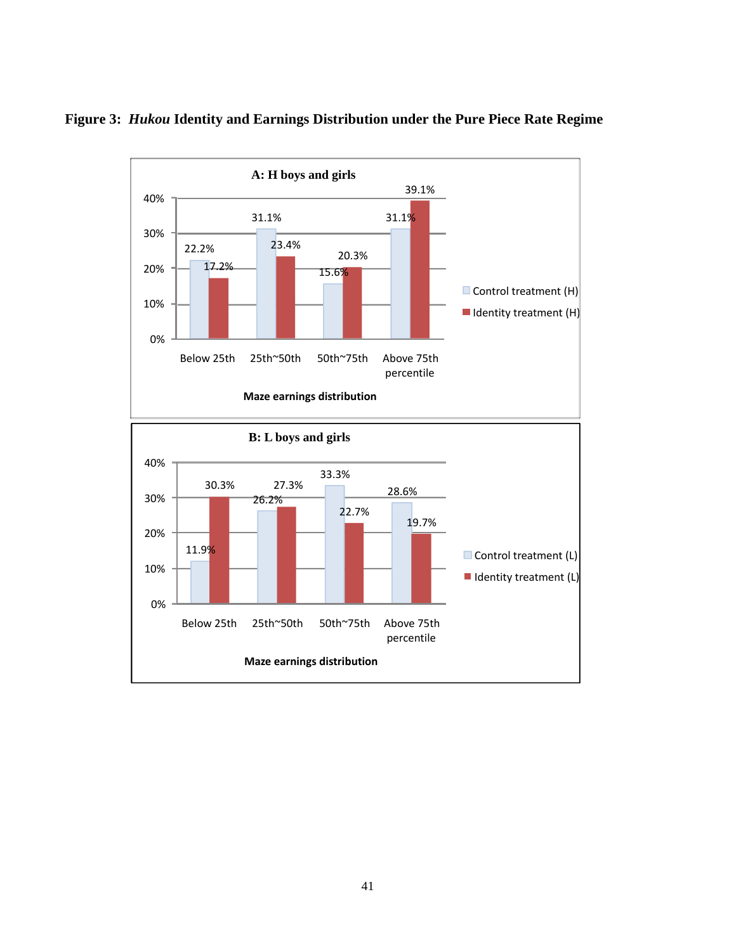

**Figure 3:** *Hukou* **Identity and Earnings Distribution under the Pure Piece Rate Regime**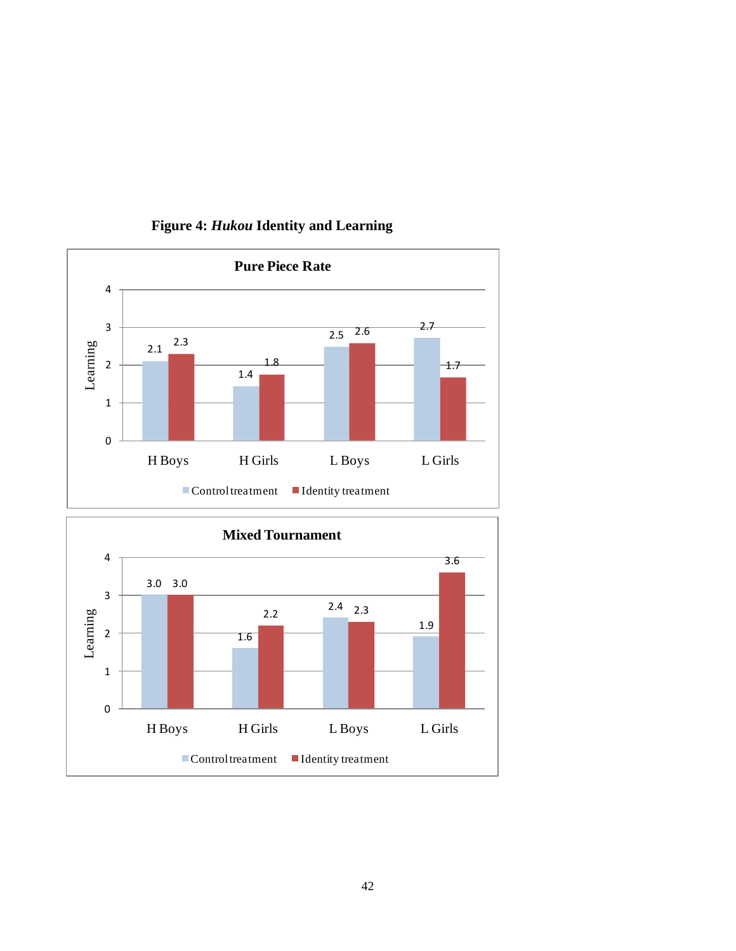

### **Figure 4:** *Hukou* **Identity and Learning**

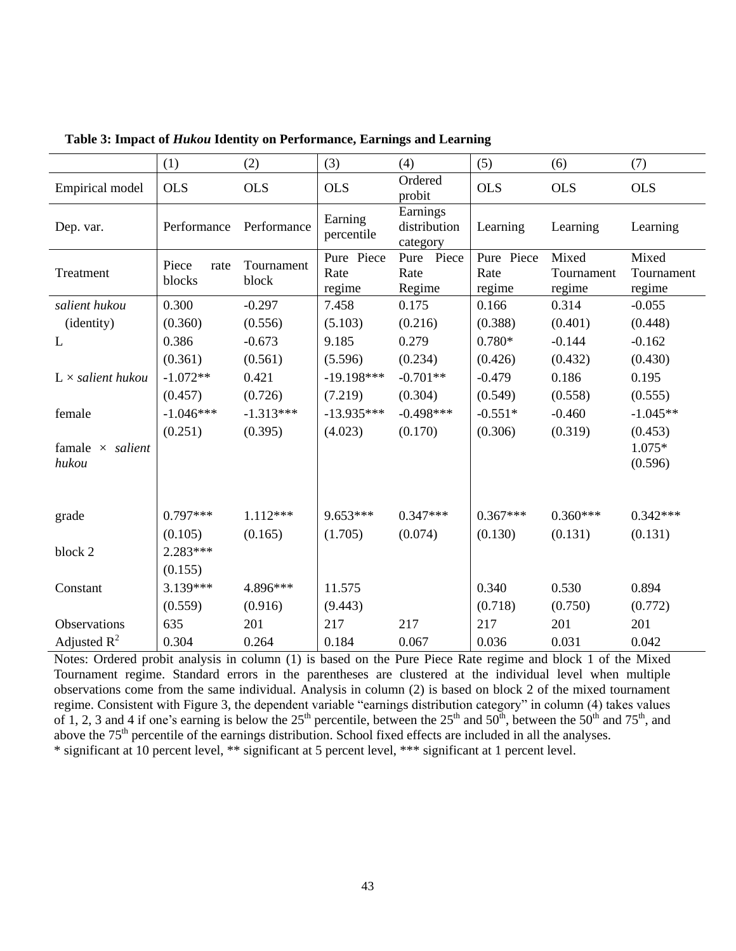|                                  | (1)                     | (2)                 | (3)                          | (4)                                  | (5)                          | (6)                           | (7)                           |
|----------------------------------|-------------------------|---------------------|------------------------------|--------------------------------------|------------------------------|-------------------------------|-------------------------------|
| Empirical model                  | <b>OLS</b>              | <b>OLS</b>          | <b>OLS</b>                   | Ordered<br>probit                    | <b>OLS</b>                   | <b>OLS</b>                    | <b>OLS</b>                    |
| Dep. var.                        | Performance             | Performance         | Earning<br>percentile        | Earnings<br>distribution<br>category | Learning                     | Learning                      | Learning                      |
| Treatment                        | Piece<br>rate<br>blocks | Tournament<br>block | Pure Piece<br>Rate<br>regime | Pure Piece<br>Rate<br>Regime         | Pure Piece<br>Rate<br>regime | Mixed<br>Tournament<br>regime | Mixed<br>Tournament<br>regime |
| salient hukou                    | 0.300                   | $-0.297$            | 7.458                        | 0.175                                | 0.166                        | 0.314                         | $-0.055$                      |
| (identity)                       | (0.360)                 | (0.556)             | (5.103)                      | (0.216)                              | (0.388)                      | (0.401)                       | (0.448)                       |
| L                                | 0.386                   | $-0.673$            | 9.185                        | 0.279                                | $0.780*$                     | $-0.144$                      | $-0.162$                      |
|                                  | (0.361)                 | (0.561)             | (5.596)                      | (0.234)                              | (0.426)                      | (0.432)                       | (0.430)                       |
| $L \times$ salient hukou         | $-1.072**$              | 0.421               | $-19.198***$                 | $-0.701**$                           | $-0.479$                     | 0.186                         | 0.195                         |
|                                  | (0.457)                 | (0.726)             | (7.219)                      | (0.304)                              | (0.549)                      | (0.558)                       | (0.555)                       |
| female                           | $-1.046***$             | $-1.313***$         | $-13.935***$                 | $-0.498***$                          | $-0.551*$                    | $-0.460$                      | $-1.045**$                    |
|                                  | (0.251)                 | (0.395)             | (4.023)                      | (0.170)                              | (0.306)                      | (0.319)                       | (0.453)                       |
| famale $\times$ salient<br>hukou |                         |                     |                              |                                      |                              |                               | $1.075*$<br>(0.596)           |
|                                  |                         |                     |                              |                                      |                              |                               |                               |
| grade                            | $0.797***$              | $1.112***$          | $9.653***$                   | $0.347***$                           | $0.367***$                   | $0.360***$                    | $0.342***$                    |
|                                  | (0.105)                 | (0.165)             | (1.705)                      | (0.074)                              | (0.130)                      | (0.131)                       | (0.131)                       |
| block 2                          | $2.283***$              |                     |                              |                                      |                              |                               |                               |
|                                  | (0.155)                 |                     |                              |                                      |                              |                               |                               |
| Constant                         | $3.139***$              | 4.896***            | 11.575                       |                                      | 0.340                        | 0.530                         | 0.894                         |
|                                  | (0.559)                 | (0.916)             | (9.443)                      |                                      | (0.718)                      | (0.750)                       | (0.772)                       |
| Observations                     | 635                     | 201                 | 217                          | 217                                  | 217                          | 201                           | 201                           |
| Adjusted $R^2$                   | 0.304                   | 0.264               | 0.184                        | 0.067                                | 0.036                        | 0.031                         | 0.042                         |

**Table 3: Impact of** *Hukou* **Identity on Performance, Earnings and Learning**

Notes: Ordered probit analysis in column (1) is based on the Pure Piece Rate regime and block 1 of the Mixed Tournament regime. Standard errors in the parentheses are clustered at the individual level when multiple observations come from the same individual. Analysis in column (2) is based on block 2 of the mixed tournament regime. Consistent with Figure 3, the dependent variable "earnings distribution category" in column (4) takes values of 1, 2, 3 and 4 if one's earning is below the 25<sup>th</sup> percentile, between the 25<sup>th</sup> and 50<sup>th</sup>, between the 50<sup>th</sup> and 75<sup>th</sup>, and above the 75<sup>th</sup> percentile of the earnings distribution. School fixed effects are included in all the analyses. \* significant at 10 percent level, \*\* significant at 5 percent level, \*\*\* significant at 1 percent level.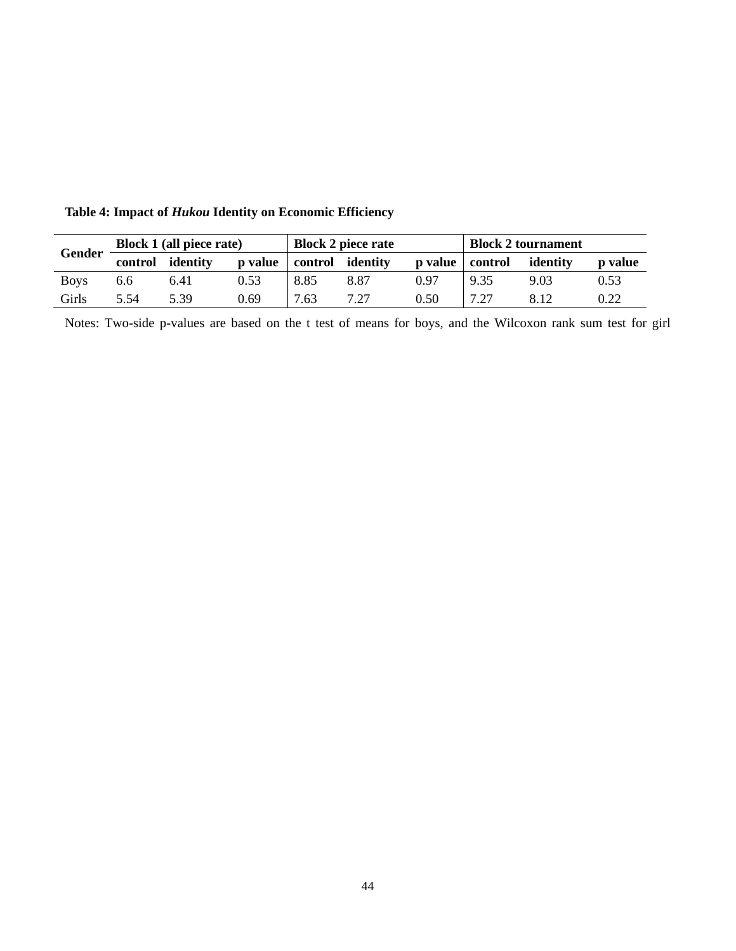|               |         | <b>Block 1 (all piece rate)</b> |         | <b>Block 2 piece rate</b> |      | <b>Block 2 tournament</b> |         |          |                |
|---------------|---------|---------------------------------|---------|---------------------------|------|---------------------------|---------|----------|----------------|
| <b>Gender</b> | control | identity                        | p value | control identity          |      | <b>p</b> value            | control | identity | <b>p</b> value |
| <b>Boys</b>   | 6.6     | 6.41                            | 0.53    | 8.85                      | 8.87 | 0.97                      | 9.35    | 9.03     | 0.53           |
| Girls         | 5.54    | 5.39                            | 0.69    | 7.63                      | 7.27 | 0.50                      | 7.27    | 812      | 0.22           |

**Table 4: Impact of** *Hukou* **Identity on Economic Efficiency**

Notes: Two-side p-values are based on the t test of means for boys, and the Wilcoxon rank sum test for girl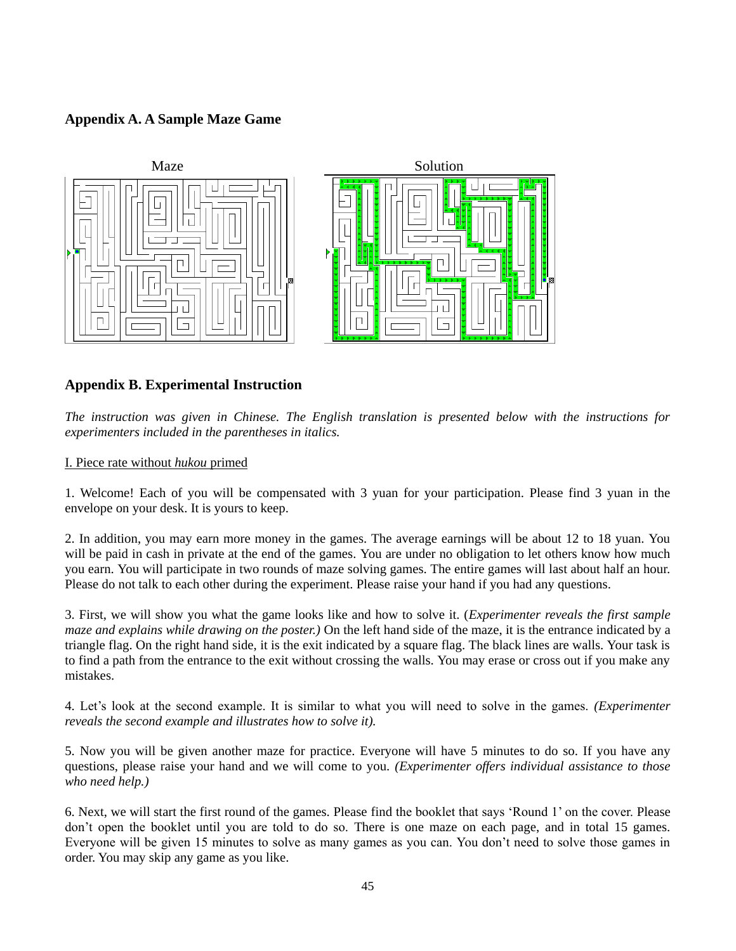### **Appendix A. A Sample Maze Game**



### **Appendix B. Experimental Instruction**

*The instruction was given in Chinese. The English translation is presented below with the instructions for experimenters included in the parentheses in italics.* 

I. Piece rate without *hukou* primed

1. Welcome! Each of you will be compensated with 3 yuan for your participation. Please find 3 yuan in the envelope on your desk. It is yours to keep.

2. In addition, you may earn more money in the games. The average earnings will be about 12 to 18 yuan. You will be paid in cash in private at the end of the games. You are under no obligation to let others know how much you earn. You will participate in two rounds of maze solving games. The entire games will last about half an hour. Please do not talk to each other during the experiment. Please raise your hand if you had any questions.

3. First, we will show you what the game looks like and how to solve it. (*Experimenter reveals the first sample maze and explains while drawing on the poster.)* On the left hand side of the maze, it is the entrance indicated by a triangle flag. On the right hand side, it is the exit indicated by a square flag. The black lines are walls. Your task is to find a path from the entrance to the exit without crossing the walls. You may erase or cross out if you make any mistakes.

4. Let"s look at the second example. It is similar to what you will need to solve in the games. *(Experimenter reveals the second example and illustrates how to solve it).* 

5. Now you will be given another maze for practice. Everyone will have 5 minutes to do so. If you have any questions, please raise your hand and we will come to you. *(Experimenter offers individual assistance to those who need help.)*

6. Next, we will start the first round of the games. Please find the booklet that says "Round 1" on the cover. Please don"t open the booklet until you are told to do so. There is one maze on each page, and in total 15 games. Everyone will be given 15 minutes to solve as many games as you can. You don"t need to solve those games in order. You may skip any game as you like.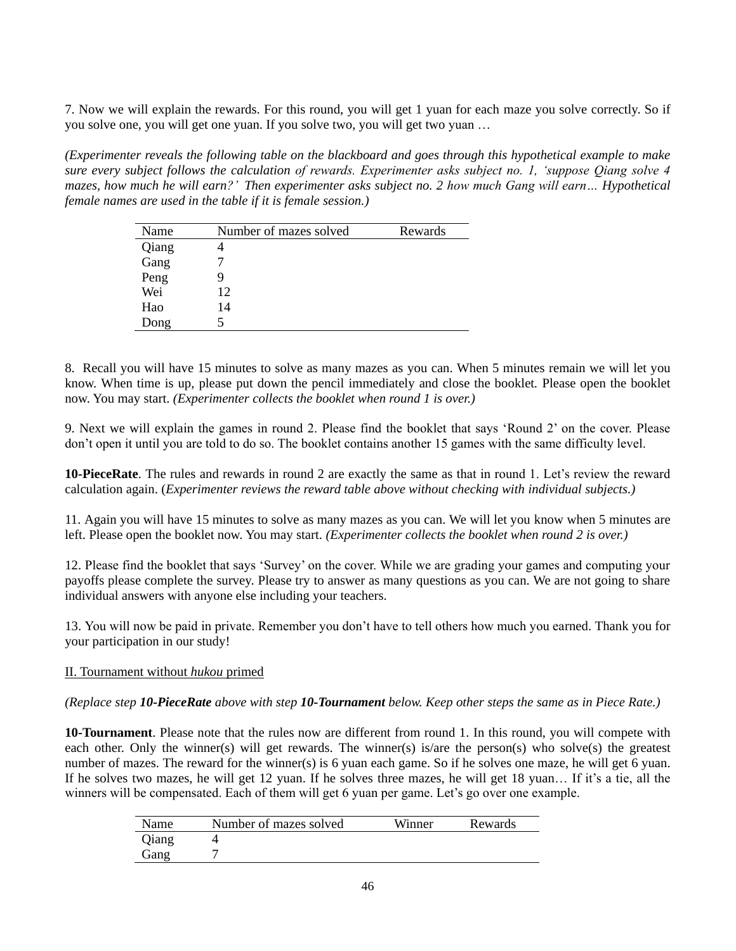7. Now we will explain the rewards. For this round, you will get 1 yuan for each maze you solve correctly. So if you solve one, you will get one yuan. If you solve two, you will get two yuan …

*(Experimenter reveals the following table on the blackboard and goes through this hypothetical example to make sure every subject follows the calculation of rewards. Experimenter asks subject no. 1, 'suppose Qiang solve 4 mazes, how much he will earn?' Then experimenter asks subject no. 2 how much Gang will earn… Hypothetical female names are used in the table if it is female session.)*

| Name  | Number of mazes solved | Rewards |
|-------|------------------------|---------|
| Qiang |                        |         |
| Gang  |                        |         |
| Peng  |                        |         |
| Wei   | 12                     |         |
| Hao   | 14                     |         |
| Dong  |                        |         |

8. Recall you will have 15 minutes to solve as many mazes as you can. When 5 minutes remain we will let you know. When time is up, please put down the pencil immediately and close the booklet*.* Please open the booklet now. You may start. *(Experimenter collects the booklet when round 1 is over.)*

9. Next we will explain the games in round 2. Please find the booklet that says "Round 2" on the cover. Please don"t open it until you are told to do so. The booklet contains another 15 games with the same difficulty level.

**10-PieceRate**. The rules and rewards in round 2 are exactly the same as that in round 1. Let"s review the reward calculation again. (*Experimenter reviews the reward table above without checking with individual subjects.)*

11. Again you will have 15 minutes to solve as many mazes as you can. We will let you know when 5 minutes are left. Please open the booklet now. You may start. *(Experimenter collects the booklet when round 2 is over.)*

12. Please find the booklet that says "Survey" on the cover. While we are grading your games and computing your payoffs please complete the survey. Please try to answer as many questions as you can. We are not going to share individual answers with anyone else including your teachers.

13. You will now be paid in private. Remember you don"t have to tell others how much you earned. Thank you for your participation in our study!

### II. Tournament without *hukou* primed

#### *(Replace step 10-PieceRate above with step 10-Tournament below. Keep other steps the same as in Piece Rate.)*

**10-Tournament**. Please note that the rules now are different from round 1. In this round, you will compete with each other. Only the winner(s) will get rewards. The winner(s) is/are the person(s) who solve(s) the greatest number of mazes. The reward for the winner(s) is 6 yuan each game. So if he solves one maze, he will get 6 yuan. If he solves two mazes, he will get 12 yuan. If he solves three mazes, he will get 18 yuan... If it's a tie, all the winners will be compensated. Each of them will get 6 yuan per game. Let's go over one example.

|       | Number of mazes solved | Winner | Rewards |
|-------|------------------------|--------|---------|
| Qiang |                        |        |         |
| Gang  |                        |        |         |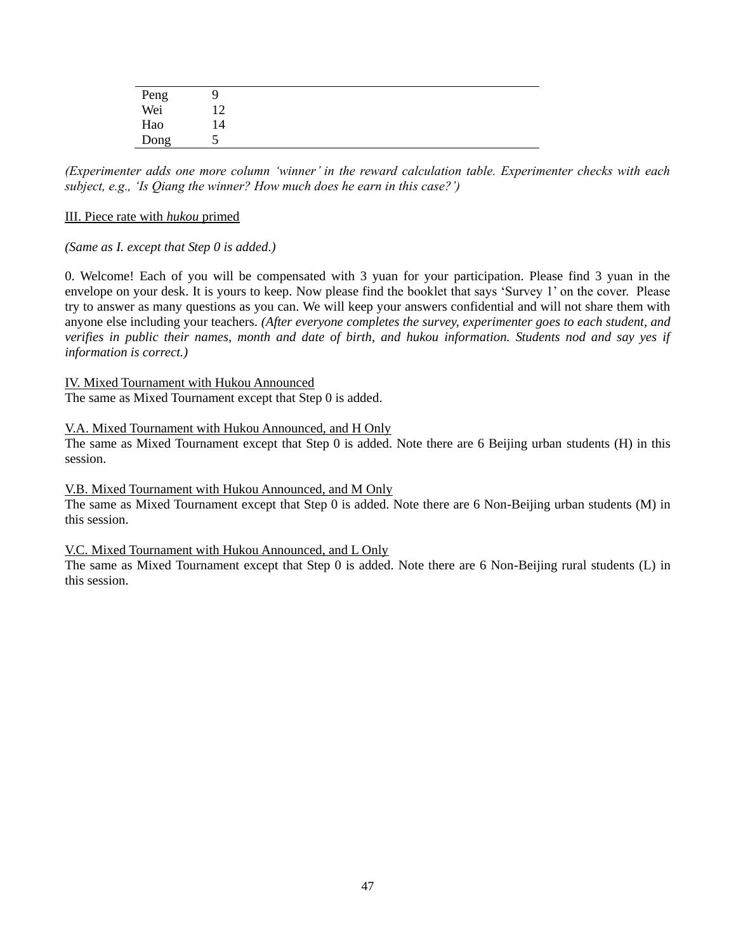| Peng<br>Wei | 12 |  |  |
|-------------|----|--|--|
| Hao         | 14 |  |  |
| Dong        | ◡  |  |  |

*(Experimenter adds one more column 'winner' in the reward calculation table. Experimenter checks with each subject, e.g., 'Is Qiang the winner? How much does he earn in this case?')*

### III. Piece rate with *hukou* primed

### *(Same as I. except that Step 0 is added.)*

0. Welcome! Each of you will be compensated with 3 yuan for your participation. Please find 3 yuan in the envelope on your desk. It is yours to keep. Now please find the booklet that says "Survey 1" on the cover. Please try to answer as many questions as you can. We will keep your answers confidential and will not share them with anyone else including your teachers. *(After everyone completes the survey, experimenter goes to each student, and verifies in public their names, month and date of birth, and hukou information. Students nod and say yes if information is correct.)*

IV. Mixed Tournament with Hukou Announced

The same as Mixed Tournament except that Step 0 is added.

### V.A. Mixed Tournament with Hukou Announced, and H Only

The same as Mixed Tournament except that Step 0 is added. Note there are 6 Beijing urban students (H) in this session.

### V.B. Mixed Tournament with Hukou Announced, and M Only

The same as Mixed Tournament except that Step 0 is added. Note there are 6 Non-Beijing urban students (M) in this session.

### V.C. Mixed Tournament with Hukou Announced, and L Only

The same as Mixed Tournament except that Step 0 is added. Note there are 6 Non-Beijing rural students (L) in this session.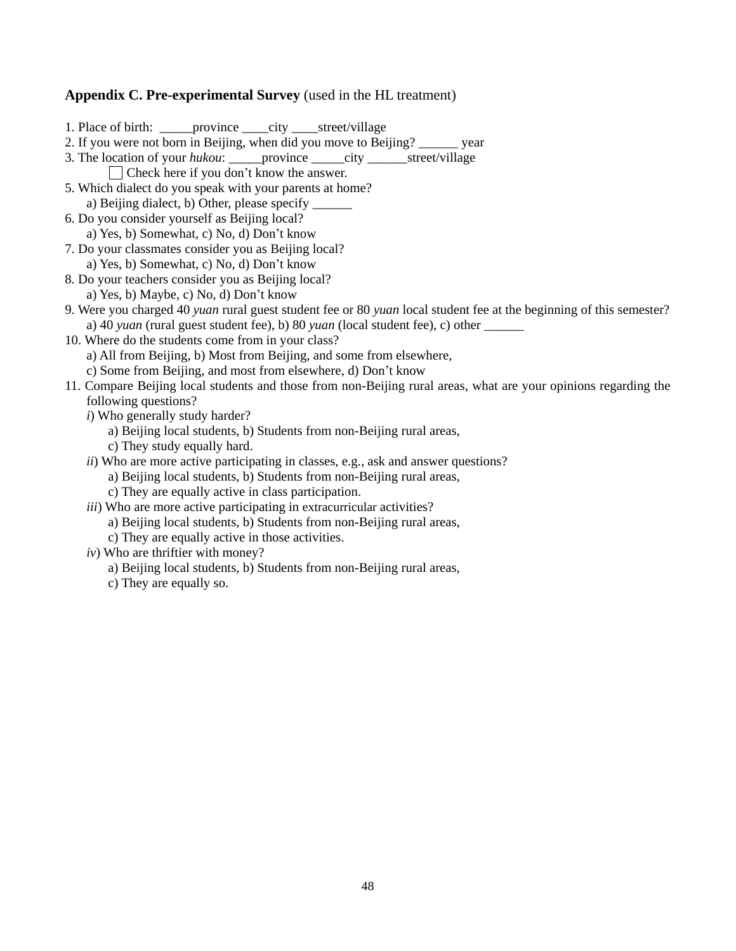## **Appendix C. Pre-experimental Survey** (used in the HL treatment)

| 1. Place of birth: ________ province ______ city ______ street/village                                              |
|---------------------------------------------------------------------------------------------------------------------|
| 2. If you were not born in Beijing, when did you move to Beijing? ______ year                                       |
| 3. The location of your hukou: _______ province _______ city ________ street/village                                |
| Check here if you don't know the answer.                                                                            |
| 5. Which dialect do you speak with your parents at home?                                                            |
| a) Beijing dialect, b) Other, please specify ______                                                                 |
| 6. Do you consider yourself as Beijing local?                                                                       |
| a) Yes, b) Somewhat, c) No, d) Don't know                                                                           |
| 7. Do your classmates consider you as Beijing local?                                                                |
| a) Yes, b) Somewhat, c) No, d) Don't know                                                                           |
| 8. Do your teachers consider you as Beijing local?                                                                  |
| a) Yes, b) Maybe, c) No, d) Don't know                                                                              |
| 9. Were you charged 40 yuan rural guest student fee or 80 yuan local student fee at the beginning of this semester? |
| a) 40 yuan (rural guest student fee), b) 80 yuan (local student fee), c) other ______                               |
| 10. Where do the students come from in your class?                                                                  |
| a) All from Beijing, b) Most from Beijing, and some from elsewhere,                                                 |
| c) Some from Beijing, and most from elsewhere, d) Don't know                                                        |
| 11. Compare Beijing local students and those from non-Beijing rural areas, what are your opinions regarding the     |
| following questions?                                                                                                |
| i) Who generally study harder?                                                                                      |
| a) Beijing local students, b) Students from non-Beijing rural areas,                                                |
| c) They study equally hard.                                                                                         |
| ii) Who are more active participating in classes, e.g., ask and answer questions?                                   |
| a) Beijing local students, b) Students from non-Beijing rural areas,                                                |
| c) They are equally active in class participation.                                                                  |
| <i>iii</i> ) Who are more active participating in extracurricular activities?                                       |
| a) Beijing local students, b) Students from non-Beijing rural areas,                                                |
| c) They are equally active in those activities.                                                                     |
| $iv)$ Who are thriftier with money?                                                                                 |
| a) Beijing local students, b) Students from non-Beijing rural areas,                                                |

c) They are equally so.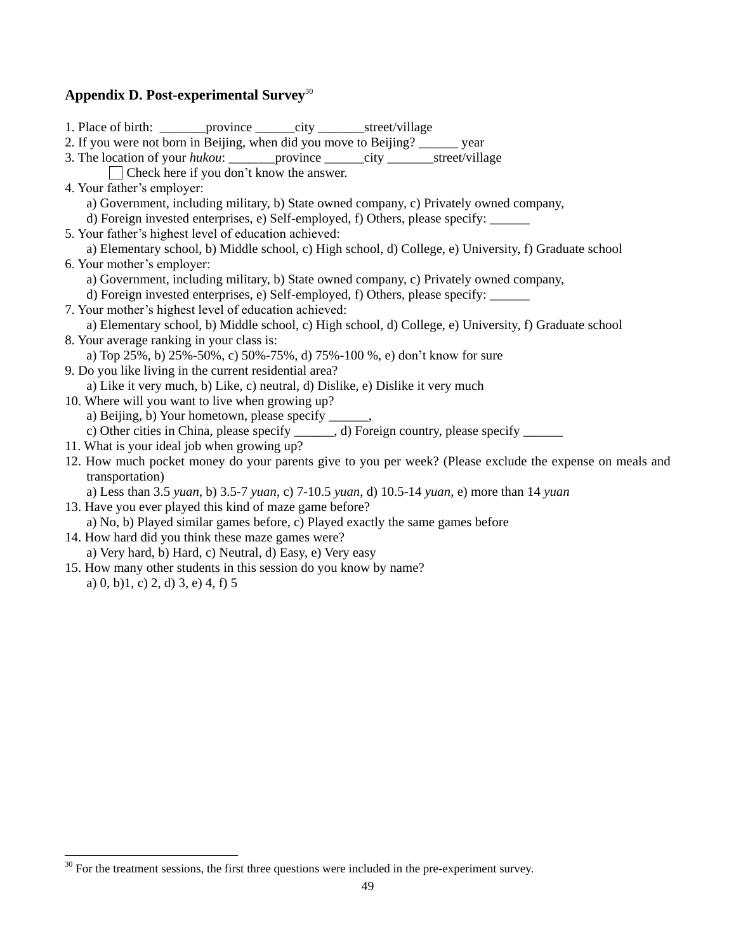# **Appendix D. Post-experimental Survey**<sup>30</sup>

| 1. Place of birth: __________ province ________ city _________ street/village                            |
|----------------------------------------------------------------------------------------------------------|
| 2. If you were not born in Beijing, when did you move to Beijing? ______ year                            |
| 3. The location of your hukou: _________ province _______city _________ street/village                   |
| $\Box$ Check here if you don't know the answer.                                                          |
| 4. Your father's employer:                                                                               |
| a) Government, including military, b) State owned company, c) Privately owned company,                   |
| d) Foreign invested enterprises, e) Self-employed, f) Others, please specify: ______                     |
| 5. Your father's highest level of education achieved:                                                    |
| a) Elementary school, b) Middle school, c) High school, d) College, e) University, f) Graduate school    |
| 6. Your mother's employer:                                                                               |
| a) Government, including military, b) State owned company, c) Privately owned company,                   |
| d) Foreign invested enterprises, e) Self-employed, f) Others, please specify: _____                      |
| 7. Your mother's highest level of education achieved:                                                    |
| a) Elementary school, b) Middle school, c) High school, d) College, e) University, f) Graduate school    |
| 8. Your average ranking in your class is:                                                                |
| a) Top 25%, b) 25%-50%, c) 50%-75%, d) 75%-100 %, e) don't know for sure                                 |
| 9. Do you like living in the current residential area?                                                   |
| a) Like it very much, b) Like, c) neutral, d) Dislike, e) Dislike it very much                           |
| 10. Where will you want to live when growing up?                                                         |
| a) Beijing, b) Your hometown, please specify ______,                                                     |
| c) Other cities in China, please specify ______, d) Foreign country, please specify ______               |
| 11. What is your ideal job when growing up?                                                              |
| 12. How much pocket money do your parents give to you per week? (Please exclude the expense on meals and |
| transportation)                                                                                          |
| a) Less than 3.5 yuan, b) 3.5-7 yuan, c) 7-10.5 yuan, d) 10.5-14 yuan, e) more than 14 yuan              |
| 13. Have you ever played this kind of maze game before?                                                  |
| a) No, b) Played similar games before, c) Played exactly the same games before                           |
| 14. How hard did you think these maze games were?                                                        |
| a) Very hard, b) Hard, c) Neutral, d) Easy, e) Very easy                                                 |
| 15. How many other students in this session do you know by name?                                         |
| a) 0, b)1, c) 2, d) 3, e) 4, f) 5                                                                        |

 $30$  For the treatment sessions, the first three questions were included in the pre-experiment survey.